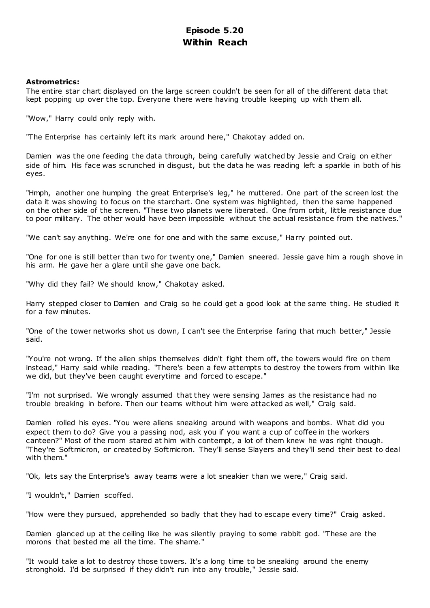# **Episode 5.20 Within Reach**

## **Astrometrics:**

The entire star chart displayed on the large screen couldn't be seen for all of the different data that kept popping up over the top. Everyone there were having trouble keeping up with them all.

"Wow," Harry could only reply with.

"The Enterprise has certainly left its mark around here," Chakotay added on.

Damien was the one feeding the data through, being carefully watched by Jessie and Craig on either side of him. His face was scrunched in disgust, but the data he was reading left a sparkle in both of his eyes.

"Hmph, another one humping the great Enterprise's leg," he muttered. One part of the screen lost the data it was showing to focus on the starchart. One system was highlighted, then the same happened on the other side of the screen. "These two planets were liberated. One from orbit, little resistance due to poor military. The other would have been impossible without the actual resistance from the natives."

"We can't say anything. We're one for one and with the same excuse," Harry pointed out.

"One for one is still better than two for twenty one," Damien sneered. Jessie gave him a rough shove in his arm. He gave her a glare until she gave one back.

"Why did they fail? We should know," Chakotay asked.

Harry stepped closer to Damien and Craig so he could get a good look at the same thing. He studied it for a few minutes.

"One of the tower networks shot us down, I can't see the Enterprise faring that much better," Jessie said.

"You're not wrong. If the alien ships themselves didn't fight them off, the towers would fire on them instead," Harry said while reading. "There's been a few attempts to destroy the towers from within like we did, but they've been caught everytime and forced to escape."

"I'm not surprised. We wrongly assumed that they were sensing James as the resistance had no trouble breaking in before. Then our teams without him were attacked as well," Craig said.

Damien rolled his eyes. "You were aliens sneaking around with weapons and bombs. What did you expect them to do? Give you a passing nod, ask you if you want a cup of coffee in the workers canteen?" Most of the room stared at him with contempt, a lot of them knew he was right though. "They're Softmicron, or created by Softmicron. They'll sense Slayers and they'll send their best to deal with them."

"Ok, lets say the Enterprise's away teams were a lot sneakier than we were," Craig said.

"I wouldn't," Damien scoffed.

"How were they pursued, apprehended so badly that they had to escape every time?" Craig asked.

Damien glanced up at the ceiling like he was silently praying to some rabbit god. "These are the morons that bested me all the time. The shame."

"It would take a lot to destroy those towers. It's a long time to be sneaking around the enemy stronghold. I'd be surprised if they didn't run into any trouble," Jessie said.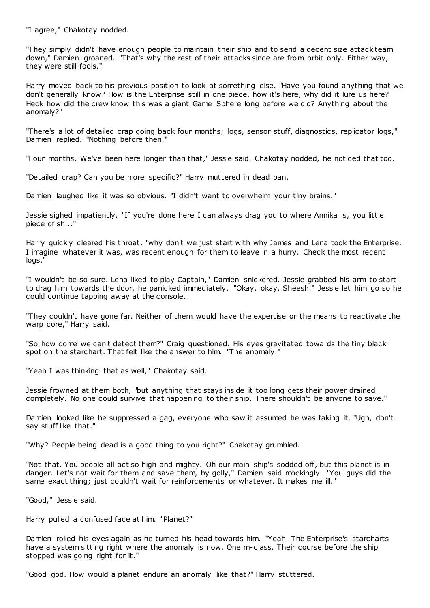"I agree," Chakotay nodded.

"They simply didn't have enough people to maintain their ship and to send a decent size attack team down," Damien groaned. "That's why the rest of their attacks since are from orbit only. Either way, they were still fools."

Harry moved back to his previous position to look at something else. "Have you found anything that we don't generally know? How is the Enterprise still in one piece, how it's here, why did it lure us here? Heck how did the crew know this was a giant Game Sphere long before we did? Anything about the anomaly?"

"There's a lot of detailed crap going back four months; logs, sensor stuff, diagnostics, replicator logs," Damien replied. "Nothing before then."

"Four months. We've been here longer than that," Jessie said. Chakotay nodded, he noticed that too.

"Detailed crap? Can you be more specific?" Harry muttered in dead pan.

Damien laughed like it was so obvious. "I didn't want to overwhelm your tiny brains."

Jessie sighed impatiently. "If you're done here I can always drag you to where Annika is, you little piece of sh..."

Harry quickly cleared his throat, "why don't we just start with why James and Lena took the Enterprise. I imagine whatever it was, was recent enough for them to leave in a hurry. Check the most recent logs."

"I wouldn't be so sure. Lena liked to play Captain," Damien snickered. Jessie grabbed his arm to start to drag him towards the door, he panicked immediately. "Okay, okay. Sheesh!" Jessie let him go so he could continue tapping away at the console.

"They couldn't have gone far. Neither of them would have the expertise or the means to reactivate the warp core," Harry said.

"So how come we can't detect them?" Craig questioned. His eyes gravitated towards the tiny black spot on the starchart. That felt like the answer to him. "The anomaly."

"Yeah I was thinking that as well," Chakotay said.

Jessie frowned at them both, "but anything that stays inside it too long gets their power drained completely. No one could survive that happening to their ship. There shouldn't be anyone to save."

Damien looked like he suppressed a gag, everyone who saw it assumed he was faking it. "Ugh, don't say stuff like that."

"Why? People being dead is a good thing to you right?" Chakotay grumbled.

"Not that. You people all act so high and mighty. Oh our main ship's sodded off, but this planet is in danger. Let's not wait for them and save them, by golly," Damien said mockingly. "You guys did the same exact thing; just couldn't wait for reinforcements or whatever. It makes me ill."

"Good," Jessie said.

Harry pulled a confused face at him. "Planet?"

Damien rolled his eyes again as he turned his head towards him. "Yeah. The Enterprise's starcharts have a system sitting right where the anomaly is now. One m-class. Their course before the ship stopped was going right for it."

"Good god. How would a planet endure an anomaly like that?" Harry stuttered.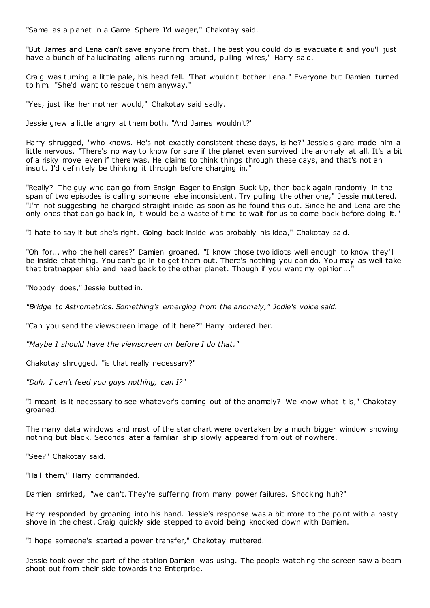"Same as a planet in a Game Sphere I'd wager," Chakotay said.

"But James and Lena can't save anyone from that. The best you could do is evacuate it and you'll just have a bunch of hallucinating aliens running around, pulling wires," Harry said.

Craig was turning a little pale, his head fell. "That wouldn't bother Lena." Everyone but Damien turned to him. "She'd want to rescue them anyway."

"Yes, just like her mother would," Chakotay said sadly.

Jessie grew a little angry at them both. "And James wouldn't?"

Harry shrugged, "who knows. He's not exactly consistent these days, is he?" Jessie's glare made him a little nervous. "There's no way to know for sure if the planet even survived the anomaly at all. It's a bit of a risky move even if there was. He claims to think things through these days, and that's not an insult. I'd definitely be thinking it through before charging in."

"Really? The guy who can go from Ensign Eager to Ensign Suck Up, then bac k again randomly in the span of two episodes is calling someone else inconsistent. Try pulling the other one," Jessie muttered. "I'm not suggesting he charged straight inside as soon as he found this out. Since he and Lena are the only ones that can go back in, it would be a waste of time to wait for us to come back before doing it."

"I hate to say it but she's right. Going back inside was probably his idea," Chakotay said.

"Oh for... who the hell cares?" Damien groaned. "I know those two idiots well enough to know they'll be inside that thing. You can't go in to get them out. There's nothing you can do. You may as well take that bratnapper ship and head back to the other planet. Though if you want my opinion...

"Nobody does," Jessie butted in.

*"Bridge to Astrometrics. Something's emerging from the anomaly," Jodie's voice said.*

"Can you send the viewscreen image of it here?" Harry ordered her.

*"Maybe I should have the viewscreen on before I do that."*

Chakotay shrugged, "is that really necessary?"

*"Duh, I can't feed you guys nothing, can I?"*

"I meant is it necessary to see whatever's coming out of the anomaly? We know what it is," Chakotay groaned.

The many data windows and most of the star chart were overtaken by a much bigger window showing nothing but black. Seconds later a familiar ship slowly appeared from out of nowhere.

"See?" Chakotay said.

"Hail them," Harry commanded.

Damien smirked, "we can't. They're suffering from many power failures. Shocking huh?"

Harry responded by groaning into his hand. Jessie's response was a bit more to the point with a nasty shove in the chest. Craig quickly side stepped to avoid being knocked down with Damien.

"I hope someone's started a power transfer," Chakotay muttered.

Jessie took over the part of the station Damien was using. The people watching the screen saw a beam shoot out from their side towards the Enterprise.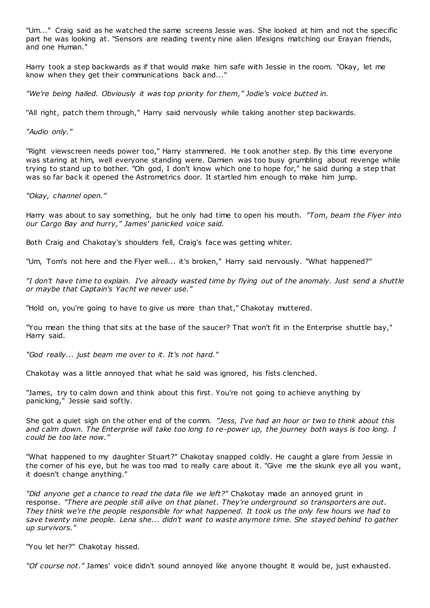"Um..." Craig said as he watched the same screens Jessie was. She looked at him and not the specific part he was looking at. "Sensors are reading twenty nine alien lifesigns matching our Erayan friends, and one Human."

Harry took a step backwards as if that would make him safe with Jessie in the room. "Okay, let me know when they get their communications back and..."

*"We're being hailed. Obviously it was top priority for them," Jodie's voice butted in.*

"All right, patch them through," Harry said nervously while taking another step backwards.

*"Audio only."*

"Right viewscreen needs power too," Harry stammered. He took another step. By this time everyone was staring at him, well everyone standing were. Damien was too busy grumbling about revenge while trying to stand up to bother. "Oh god, I don't know which one to hope for," he said during a step that was so far back it opened the Astrometrics door. It startled him enough to make him jump.

*"Okay, channel open."*

Harry was about to say something, but he only had time to open his mouth. *"Tom, beam the Flyer into our Cargo Bay and hurry," James' panicked voice said.*

Both Craig and Chakotay's shoulders fell, Craig's face was getting whiter.

"Um, Tom's not here and the Flyer well... it's broken," Harry said nervously. "What happened?"

*"I don't have time to explain. I've already wasted time by flying out of the anomaly. Just send a shuttle or maybe that Captain's Yacht we never use."*

"Hold on, you're going to have to give us more than that," Chakotay muttered.

"You mean the thing that sits at the base of the saucer? That won't fit in the Enterprise shuttle bay," Harry said.

*"God really... just beam me over to it. It's not hard."*

Chakotay was a little annoyed that what he said was ignored, his fists clenched.

"James, try to calm down and think about this first. You're not going to achieve anything by panicking," Jessie said softly.

She got a quiet sigh on the other end of the comm. *"Jess, I've had an hour or two to think about this and calm down. The Enterprise will take too long to re-power up, the journey both ways is too long. I could be too late now."*

"What happened to my daughter Stuart?" Chakotay snapped coldly. He caught a glare from Jessie in the corner of his eye, but he was too mad to really care about it. "Give me the skunk eye all you want, it doesn't change anything."

*"Did anyone get a chance to read the data file we left?"* Chakotay made an annoyed grunt in response. *"There are people still alive on that planet. They're underground so transporters are out. They think we're the people responsible for what happened. It took us the only few hours we had to save twenty nine people. Lena she... didn't want to waste anymore time. She stayed behind to gather up survivors."*

"You let her?" Chakotay hissed.

*"Of course not."* James' voice didn't sound annoyed like anyone thought it would be, just exhausted.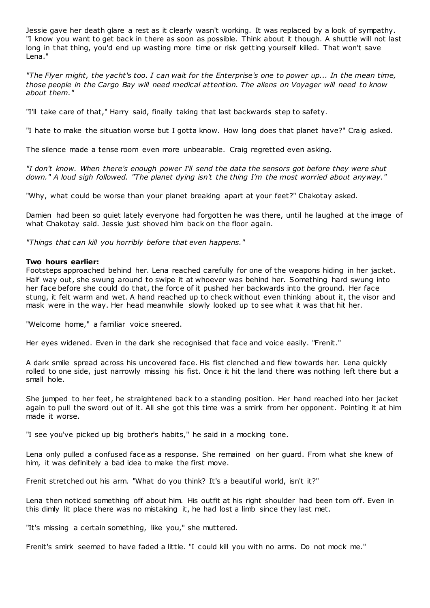Jessie gave her death glare a rest as it clearly wasn't working. It was replaced by a look of sympathy. "I know you want to get back in there as soon as possible. Think about it though. A shuttle will not last long in that thing, you'd end up wasting more time or risk getting yourself killed. That won't save Lena."

*"The Flyer might, the yacht's too. I can wait for the Enterprise's one to power up... In the mean time, those people in the Cargo Bay will need medical attention. The aliens on Voyager will need to know about them."*

"I'll take care of that," Harry said, finally taking that last backwards step to safety.

"I hate to make the situation worse but I gotta know. How long does that planet have?" Craig asked.

The silence made a tense room even more unbearable. Craig regretted even asking.

*"I don't know. When there's enough power I'll send the data the sensors got before they were shut down." A loud sigh followed. "The planet dying isn't the thing I'm the most worried about anyway."*

"Why, what could be worse than your planet breaking apart at your feet?" Chakotay asked.

Damien had been so quiet lately everyone had forgotten he was there, until he laughed at the image of what Chakotay said. Jessie just shoved him back on the floor again.

*"Things that can kill you horribly before that even happens."*

## **Two hours earlier:**

Footsteps approached behind her. Lena reached carefully for one of the weapons hiding in her jacket. Half way out, she swung around to swipe it at whoever was behind her. Something hard swung into her face before she could do that, the force of it pushed her backwards into the ground. Her face stung, it felt warm and wet. A hand reached up to check without even thinking about it, the visor and mask were in the way. Her head meanwhile slowly looked up to see what it was that hit her.

"Welcome home," a familiar voice sneered.

Her eyes widened. Even in the dark she recognised that face and voice easily. "Frenit."

A dark smile spread across his uncovered face. His fist clenched and flew towards her. Lena quickly rolled to one side, just narrowly missing his fist. Once it hit the land there was nothing left there but a small hole.

She jumped to her feet, he straightened back to a standing position. Her hand reached into her jacket again to pull the sword out of it. All she got this time was a smirk from her opponent. Pointing it at him made it worse.

"I see you've picked up big brother's habits," he said in a mocking tone.

Lena only pulled a confused face as a response. She remained on her guard. From what she knew of him, it was definitely a bad idea to make the first move.

Frenit stretched out his arm. "What do you think? It's a beautiful world, isn't it?"

Lena then noticed something off about him. His outfit at his right shoulder had been torn off. Even in this dimly lit place there was no mistaking it, he had lost a limb since they last met.

"It's missing a certain something, like you," she muttered.

Frenit's smirk seemed to have faded a little. "I could kill you with no arms. Do not mock me."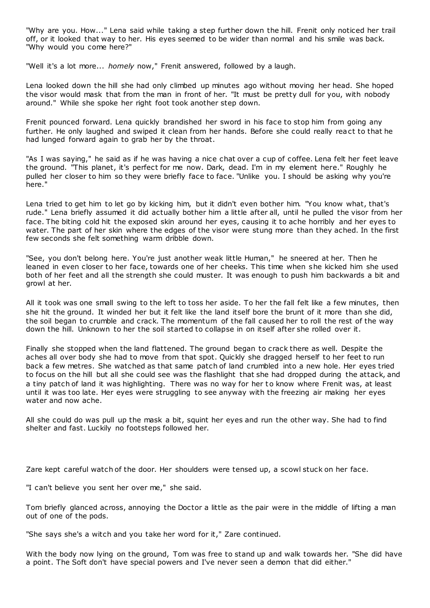"Why are you. How..." Lena said while taking a step further down the hill. Frenit only noticed her trail off, or it looked that way to her. His eyes seemed to be wider than normal and his smile was back. "Why would you come here?"

"Well it's a lot more... *homely* now," Frenit answered, followed by a laugh.

Lena looked down the hill she had only climbed up minutes ago without moving her head. She hoped the visor would mask that from the man in front of her. "It must be pretty dull for you, with nobody around." While she spoke her right foot took another step down.

Frenit pounced forward. Lena quickly brandished her sword in his face to stop him from going any further. He only laughed and swiped it clean from her hands. Before she could really react to that he had lunged forward again to grab her by the throat.

"As I was saying," he said as if he was having a nice chat over a cup of coffee. Lena felt her feet leave the ground. "This planet, it's perfect for me now. Dark, dead. I'm in my element here." Roughly he pulled her closer to him so they were briefly face to face. "Unlike you. I should be asking why you're here."

Lena tried to get him to let go by kicking him, but it didn't even bother him. "You know what, that's rude." Lena briefly assumed it did actually bother him a little after all, until he pulled the visor from her face. The biting cold hit the exposed skin around her eyes, causing it to ache horribly and her eyes to water. The part of her skin where the edges of the visor were stung more than they ached. In the first few seconds she felt something warm dribble down.

"See, you don't belong here. You're just another weak little Human," he sneered at her. Then he leaned in even closer to her face, towards one of her cheeks. This time when she kicked him she used both of her feet and all the strength she could muster. It was enough to push him backwards a bit and growl at her.

All it took was one small swing to the left to toss her aside. To her the fall felt like a few minutes, then she hit the ground. It winded her but it felt like the land itself bore the brunt of it more than she did, the soil began to crumble and crack. The momentum of the fall caused her to roll the rest of the way down the hill. Unknown to her the soil started to collapse in on itself after she rolled over it.

Finally she stopped when the land flattened. The ground began to crack there as well. Despite the aches all over body she had to move from that spot. Quickly she dragged herself to her feet to run back a few metres. She watched as that same patch of land crumbled into a new hole. Her eyes tried to focus on the hill but all she could see was the flashlight that she had dropped during the attack, and a tiny patch of land it was highlighting. There was no way for her to know where Frenit was, at least until it was too late. Her eyes were struggling to see anyway with the freezing air making her eyes water and now ache.

All she could do was pull up the mask a bit, squint her eyes and run the other way. She had to find shelter and fast. Luckily no footsteps followed her.

Zare kept careful watch of the door. Her shoulders were tensed up, a scowl stuck on her face.

"I can't believe you sent her over me," she said.

Tom briefly glanced across, annoying the Doctor a little as the pair were in the middle of lifting a man out of one of the pods.

"She says she's a witch and you take her word for it," Zare continued.

With the body now lying on the ground, Tom was free to stand up and walk towards her. "She did have a point. The Soft don't have special powers and I've never seen a demon that did either."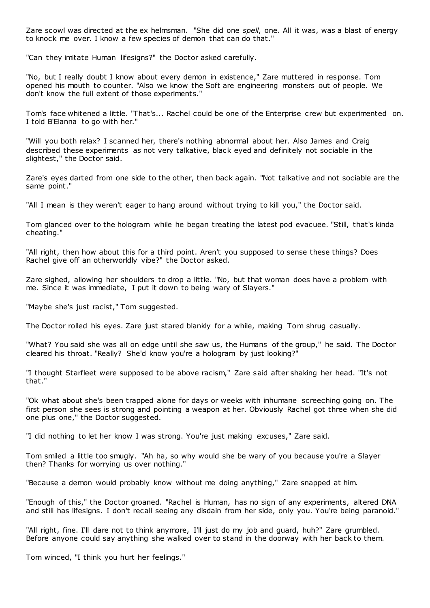Zare scowl was directed at the ex helmsman. "She did one *spell*, one. All it was, was a blast of energy to knock me over. I know a few species of demon that can do that."

"Can they imitate Human lifesigns?" the Doctor asked carefully.

"No, but I really doubt I know about every demon in existence," Zare muttered in response. Tom opened his mouth to counter. "Also we know the Soft are engineering monsters out of people. We don't know the full extent of those experiments."

Tom's face whitened a little. "That's... Rachel could be one of the Enterprise crew but experimented on. I told B'Elanna to go with her."

"Will you both relax? I scanned her, there's nothing abnormal about her. Also James and Craig described these experiments as not very talkative, black eyed and definitely not sociable in the slightest," the Doctor said.

Zare's eyes darted from one side to the other, then back again. "Not talkative and not sociable are the same point."

"All I mean is they weren't eager to hang around without trying to kill you," the Doctor said.

Tom glanced over to the hologram while he began treating the latest pod evacuee. "Still, that's kinda cheating."

"All right, then how about this for a third point. Aren't you supposed to sense these things? Does Rachel give off an otherworldly vibe?" the Doctor asked.

Zare sighed, allowing her shoulders to drop a little. "No, but that woman does have a problem with me. Since it was immediate, I put it down to being wary of Slayers."

"Maybe she's just racist," Tom suggested.

The Doctor rolled his eyes. Zare just stared blankly for a while, making Tom shrug casually.

"What? You said she was all on edge until she saw us, the Humans of the group," he said. The Doctor cleared his throat. "Really? She'd know you're a hologram by just looking?"

"I thought Starfleet were supposed to be above racism," Zare said after shaking her head. "It's not that."

"Ok what about she's been trapped alone for days or weeks with inhumane screeching going on. The first person she sees is strong and pointing a weapon at her. Obviously Rachel got three when she did one plus one," the Doctor suggested.

"I did nothing to let her know I was strong. You're just making excuses," Zare said.

Tom smiled a little too smugly. "Ah ha, so why would she be wary of you because you're a Slayer then? Thanks for worrying us over nothing."

"Because a demon would probably know without me doing anything," Zare snapped at him.

"Enough of this," the Doctor groaned. "Rachel is Human, has no sign of any experiments, altered DNA and still has lifesigns. I don't recall seeing any disdain from her side, only you. You're being paranoid."

"All right, fine. I'll dare not to think anymore, I'll just do my job and guard, huh?" Zare grumbled. Before anyone could say anything she walked over to stand in the doorway with her back to them.

Tom winced, "I think you hurt her feelings."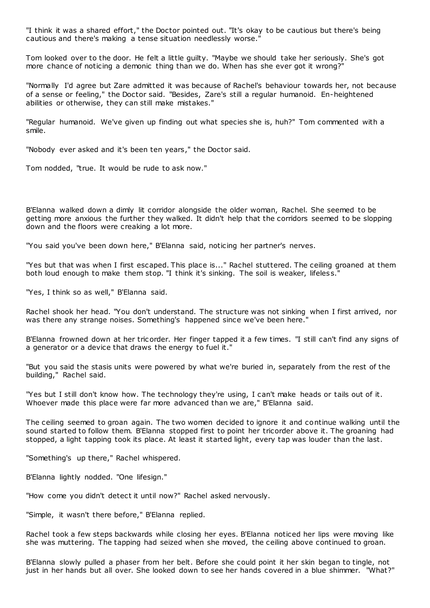"I think it was a shared effort," the Doctor pointed out. "It's okay to be cautious but there's being cautious and there's making a tense situation needlessly worse."

Tom looked over to the door. He felt a little guilty. "Maybe we should take her seriously. She's got more chance of noticing a demonic thing than we do. When has she ever got it wrong?"

"Normally I'd agree but Zare admitted it was because of Rachel's behaviour towards her, not because of a sense or feeling," the Doctor said. "Besides, Zare's still a regular humanoid. En-heightened abilities or otherwise, they can still make mistakes."

"Regular humanoid. We've given up finding out what species she is, huh?" Tom commented with a smile.

"Nobody ever asked and it's been ten years," the Doctor said.

Tom nodded, "true. It would be rude to ask now."

B'Elanna walked down a dimly lit corridor alongside the older woman, Rachel. She seemed to be getting more anxious the further they walked. It didn't help that the corridors seemed to be slopping down and the floors were creaking a lot more.

"You said you've been down here," B'Elanna said, noticing her partner's nerves.

"Yes but that was when I first escaped. This place is..." Rachel stuttered. The ceiling groaned at them both loud enough to make them stop. "I think it's sinking. The soil is weaker, lifeless."

"Yes, I think so as well," B'Elanna said.

Rachel shook her head. "You don't understand. The structure was not sinking when I first arrived, nor was there any strange noises. Something's happened since we've been here."

B'Elanna frowned down at her tricorder. Her finger tapped it a few times. "I still can't find any signs of a generator or a device that draws the energy to fuel it."

"But you said the stasis units were powered by what we're buried in, separately from the rest of the building," Rachel said.

"Yes but I still don't know how. The technology they're using, I can't make heads or tails out of it. Whoever made this place were far more advanced than we are," B'Elanna said.

The ceiling seemed to groan again. The two women decided to ignore it and continue walking until the sound started to follow them. B'Elanna stopped first to point her tricorder above it. The groaning had stopped, a light tapping took its place. At least it started light, every tap was louder than the last.

"Something's up there," Rachel whispered.

B'Elanna lightly nodded. "One lifesign."

"How come you didn't detect it until now?" Rachel asked nervously.

"Simple, it wasn't there before," B'Elanna replied.

Rachel took a few steps backwards while closing her eyes. B'Elanna noticed her lips were moving like she was muttering. The tapping had seized when she moved, the ceiling above continued to groan.

B'Elanna slowly pulled a phaser from her belt. Before she could point it her skin began to tingle, not just in her hands but all over. She looked down to see her hands covered in a blue shimmer. "What?"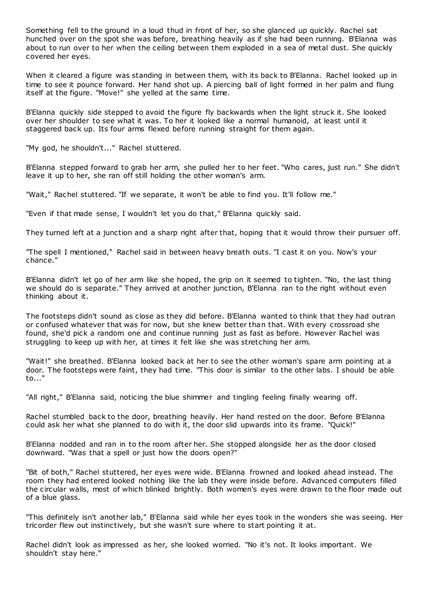Something fell to the ground in a loud thud in front of her, so she glanced up quickly. Rachel sat hunched over on the spot she was before, breathing heavily as if she had been running. B'Elanna was about to run over to her when the ceiling between them exploded in a sea of metal dust. She quickly covered her eyes.

When it cleared a figure was standing in between them, with its back to B'Elanna. Rachel looked up in time to see it pounce forward. Her hand shot up. A piercing ball of light formed in her palm and flung itself at the figure. "Move!" she yelled at the same time.

B'Elanna quickly side stepped to avoid the figure fly backwards when the light struck it. She looked over her shoulder to see what it was. To her it looked like a normal humanoid, at least until it staggered back up. Its four arms flexed before running straight for them again.

"My god, he shouldn't..." Rachel stuttered.

B'Elanna stepped forward to grab her arm, she pulled her to her feet. "Who cares, just run." She didn't leave it up to her, she ran off still holding the other woman's arm.

"Wait," Rachel stuttered. "If we separate, it won't be able to find you. It'll follow me."

"Even if that made sense, I wouldn't let you do that," B'Elanna quickly said.

They turned left at a junction and a sharp right after that, hoping that it would throw their pursuer off.

"The spell I mentioned," Rachel said in between heavy breath outs. "I cast it on you. Now's your chance."

B'Elanna didn't let go of her arm like she hoped, the grip on it seemed to tighten. "No, the last thing we should do is separate." They arrived at another junction, B'Elanna ran to the right without even thinking about it.

The footsteps didn't sound as close as they did before. B'Elanna wanted to think that they had outran or confused whatever that was for now, but she knew better than that. With every crossroad she found, she'd pick a random one and continue running just as fast as before. However Rachel was struggling to keep up with her, at times it felt like she was stretching her arm.

"Wait!" she breathed. B'Elanna looked back at her to see the other woman's spare arm pointing at a door. The footsteps were faint, they had time. "This door is similar to the other labs. I should be able to..."

"All right," B'Elanna said, noticing the blue shimmer and tingling feeling finally wearing off.

Rachel stumbled back to the door, breathing heavily. Her hand rested on the door. Before B'Elanna could ask her what she planned to do with it, the door slid upwards into its frame. "Quick!"

B'Elanna nodded and ran in to the room after her. She stopped alongside her as the door closed downward. "Was that a spell or just how the doors open?"

"Bit of both," Rachel stuttered, her eyes were wide. B'Elanna frowned and looked ahead instead. The room they had entered looked nothing like the lab they were inside before. Advanced computers filled the circular walls, most of which blinked brightly. Both women's eyes were drawn to the floor made out of a blue glass.

"This definitely isn't another lab," B'Elanna said while her eyes took in the wonders she was seeing. Her tricorder flew out instinctively, but she wasn't sure where to start pointing it at.

Rachel didn't look as impressed as her, she looked worried. "No it's not. It looks important. We shouldn't stay here."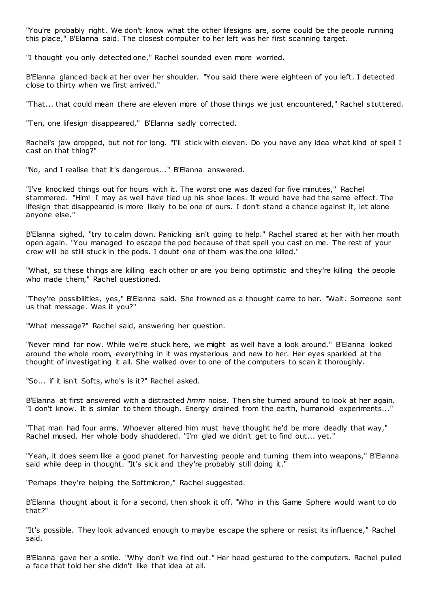"You're probably right. We don't know what the other lifesigns are, some could be the people running this place," B'Elanna said. The closest computer to her left was her first scanning target.

"I thought you only detected one," Rachel sounded even more worried.

B'Elanna glanced back at her over her shoulder. "You said there were eighteen of you left. I detected close to thirty when we first arrived."

"That... that could mean there are eleven more of those things we just encountered," Rachel s tuttered.

"Ten, one lifesign disappeared," B'Elanna sadly corrected.

Rachel's jaw dropped, but not for long. "I'll stick with eleven. Do you have any idea what kind of spell I cast on that thing?"

"No, and I realise that it's dangerous..." B'Elanna answered.

"I've knocked things out for hours with it. The worst one was dazed for five minutes," Rachel stammered. "Him! I may as well have tied up his shoe laces. It would have had the same effect. The lifesign that disappeared is more likely to be one of ours. I don't stand a chance against it, let alone anyone else."

B'Elanna sighed, "try to calm down. Panicking isn't going to help." Rachel stared at her with her mouth open again. "You managed to escape the pod because of that spell you cast on me. The rest of your crew will be still stuck in the pods. I doubt one of them was the one killed."

"What, so these things are killing each other or are you being optimistic and they're killing the people who made them," Rachel questioned.

"They're possibilities, yes," B'Elanna said. She frowned as a thought came to her. "Wait. Someone sent us that message. Was it you?"

"What message?" Rachel said, answering her question.

"Never mind for now. While we're stuck here, we might as well have a look around." B'Elanna looked around the whole room, everything in it was mysterious and new to her. Her eyes sparkled at the thought of investigating it all. She walked over to one of the computers to scan it thoroughly.

"So... if it isn't Softs, who's is it?" Rachel asked.

B'Elanna at first answered with a distracted *hmm* noise. Then she turned around to look at her again. "I don't know. It is similar to them though. Energy drained from the earth, humanoid experiments..."

"That man had four arms. Whoever altered him must have thought he'd be more deadly that way," Rachel mused. Her whole body shuddered. "I'm glad we didn't get to find out... yet."

"Yeah, it does seem like a good planet for harvesting people and turning them into weapons," B'Elanna said while deep in thought. "It's sick and they're probably still doing it."

"Perhaps they're helping the Softmicron," Rachel suggested.

B'Elanna thought about it for a second, then shook it off. "Who in this Game Sphere would want to do that?"

"It's possible. They look advanced enough to maybe escape the sphere or resist its influence," Rachel said.

B'Elanna gave her a smile. "Why don't we find out." Her head gestured to the computers. Rachel pulled a face that told her she didn't like that idea at all.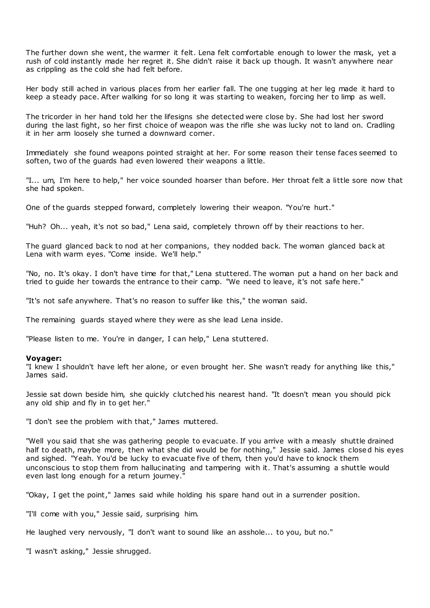The further down she went, the warmer it felt. Lena felt comfortable enough to lower the mask, yet a rush of cold instantly made her regret it. She didn't raise it back up though. It wasn't anywhere near as crippling as the cold she had felt before.

Her body still ached in various places from her earlier fall. The one tugging at her leg made it hard to keep a steady pace. After walking for so long it was starting to weaken, forcing her to limp as well.

The tricorder in her hand told her the lifesigns she detected were close by. She had lost her sword during the last fight, so her first choice of weapon was the rifle she was lucky not to land on. Cradling it in her arm loosely she turned a downward corner.

Immediately she found weapons pointed straight at her. For some reason their tense faces seemed to soften, two of the guards had even lowered their weapons a little.

"I... um, I'm here to help," her voice sounded hoarser than before. Her throat felt a little sore now that she had spoken.

One of the guards stepped forward, completely lowering their weapon. "You're hurt."

"Huh? Oh... yeah, it's not so bad," Lena said, completely thrown off by their reactions to her.

The guard glanced back to nod at her companions, they nodded back. The woman glanced back at Lena with warm eyes. "Come inside. We'll help."

"No, no. It's okay. I don't have time for that," Lena stuttered. The woman put a hand on her back and tried to guide her towards the entrance to their camp. "We need to leave, it's not safe here."

"It's not safe anywhere. That's no reason to suffer like this," the woman said.

The remaining guards stayed where they were as she lead Lena inside.

"Please listen to me. You're in danger, I can help," Lena stuttered.

#### **Voyager:**

"I knew I shouldn't have left her alone, or even brought her. She wasn't ready for anything like this," James said.

Jessie sat down beside him, she quickly clutched his nearest hand. "It doesn't mean you should pick any old ship and fly in to get her."

"I don't see the problem with that," James muttered.

"Well you said that she was gathering people to evacuate. If you arrive with a measly shuttle drained half to death, maybe more, then what she did would be for nothing," Jessie said. James closed his eyes and sighed. "Yeah. You'd be lucky to evacuate five of them, then you'd have to knock them unconscious to stop them from hallucinating and tampering with it. That's assuming a shuttle would even last long enough for a return journey."

"Okay, I get the point," James said while holding his spare hand out in a surrender position.

"I'll come with you," Jessie said, surprising him.

He laughed very nervously, "I don't want to sound like an asshole... to you, but no."

"I wasn't asking," Jessie shrugged.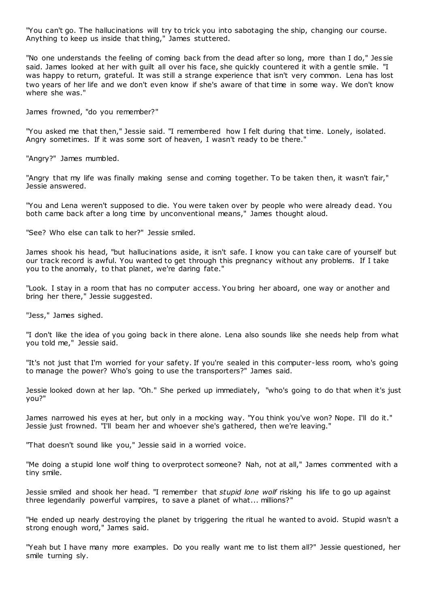"You can't go. The hallucinations will try to trick you into sabotaging the ship, changing our course. Anything to keep us inside that thing," James stuttered.

"No one understands the feeling of coming back from the dead after so long, more than I do," Jes sie said. James looked at her with guilt all over his face, she quickly countered it with a gentle smile. "I was happy to return, grateful. It was still a strange experience that isn't very common. Lena has lost two years of her life and we don't even know if she's aware of that time in some way. We don't know where she was."

James frowned, "do you remember?"

"You asked me that then," Jessie said. "I remembered how I felt during that time. Lonely, isolated. Angry sometimes. If it was some sort of heaven, I wasn't ready to be there."

"Angry?" James mumbled.

"Angry that my life was finally making sense and coming together. To be taken then, it wasn't fair," Jessie answered.

"You and Lena weren't supposed to die. You were taken over by people who were already dead. You both came back after a long time by unconventional means," James thought aloud.

"See? Who else can talk to her?" Jessie smiled.

James shook his head, "but hallucinations aside, it isn't safe. I know you can take care of yourself but our track record is awful. You wanted to get through this pregnancy without any problems. If I take you to the anomaly, to that planet, we're daring fate."

"Look. I stay in a room that has no computer access. You bring her aboard, one way or another and bring her there," Jessie suggested.

"Jess," James sighed.

"I don't like the idea of you going back in there alone. Lena also sounds like she needs help from what you told me," Jessie said.

"It's not just that I'm worried for your safety. If you're sealed in this computer-less room, who's going to manage the power? Who's going to use the transporters?" James said.

Jessie looked down at her lap. "Oh." She perked up immediately, "who's going to do that when it's just you?"

James narrowed his eyes at her, but only in a mocking way. "You think you've won? Nope. I'll do it." Jessie just frowned. "I'll beam her and whoever she's gathered, then we're leaving."

"That doesn't sound like you," Jessie said in a worried voice.

"Me doing a stupid lone wolf thing to overprotect someone? Nah, not at all," James commented with a tiny smile.

Jessie smiled and shook her head. "I remember that *stupid lone wolf* risking his life to go up against three legendarily powerful vampires, to save a planet of what... millions?"

"He ended up nearly destroying the planet by triggering the ritual he wanted to avoid. Stupid wasn't a strong enough word," James said.

"Yeah but I have many more examples. Do you really want me to list them all?" Jessie questioned, her smile turning sly.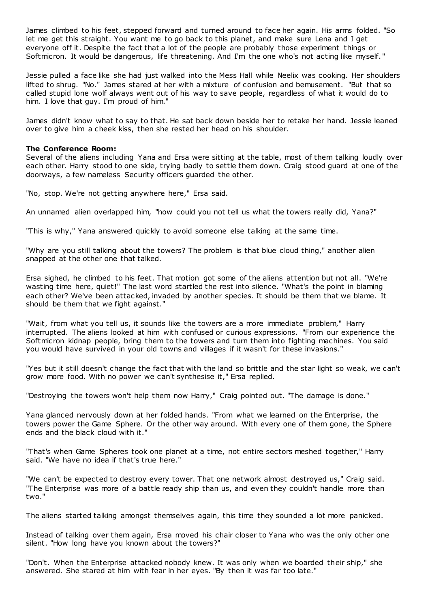James climbed to his feet, stepped forward and turned around to face her again. His arms folded. "So let me get this straight. You want me to go back to this planet, and make sure Lena and I get everyone off it. Despite the fact that a lot of the people are probably those experiment things or Softmicron. It would be dangerous, life threatening. And I'm the one who's not acting like myself. "

Jessie pulled a face like she had just walked into the Mess Hall while Neelix was cooking. Her shoulders lifted to shrug. "No." James stared at her with a mixture of confusion and bemusement. "But that so called stupid lone wolf always went out of his way to save people, regardless of what it would do to him. I love that guy. I'm proud of him."

James didn't know what to say to that. He sat back down beside her to retake her hand. Jessie leaned over to give him a cheek kiss, then she rested her head on his shoulder.

## **The Conference Room:**

Several of the aliens including Yana and Ersa were sitting at the table, most of them talking loudly over each other. Harry stood to one side, trying badly to settle them down. Craig stood guard at one of the doorways, a few nameless Security officers guarded the other.

"No, stop. We're not getting anywhere here," Ersa said.

An unnamed alien overlapped him, "how could you not tell us what the towers really did, Yana?"

"This is why," Yana answered quickly to avoid someone else talking at the same time.

"Why are you still talking about the towers? The problem is that blue cloud thing," another alien snapped at the other one that talked.

Ersa sighed, he climbed to his feet. That motion got some of the aliens attention but not all. "We're wasting time here, quiet!" The last word startled the rest into silence. "What's the point in blaming each other? We've been attacked, invaded by another species. It should be them that we blame. It should be them that we fight against."

"Wait, from what you tell us, it sounds like the towers are a more immediate problem," Harry interrupted. The aliens looked at him with confused or curious expressions. "From our experience the Softmicron kidnap people, bring them to the towers and turn them into fighting machines. You said you would have survived in your old towns and villages if it wasn't for these invasions."

"Yes but it still doesn't change the fact that with the land so brittle and the star light so weak, we can't grow more food. With no power we can't synthesise it," Ersa replied.

"Destroying the towers won't help them now Harry," Craig pointed out. "The damage is done."

Yana glanced nervously down at her folded hands. "From what we learned on the Enterprise, the towers power the Game Sphere. Or the other way around. With every one of them gone, the Sphere ends and the black cloud with it."

"That's when Game Spheres took one planet at a time, not entire sectors meshed together," Harry said. "We have no idea if that's true here."

"We can't be expected to destroy every tower. That one network almost destroyed us," Craig said. "The Enterprise was more of a battle ready ship than us, and even they couldn't handle more than two."

The aliens started talking amongst themselves again, this time they sounded a lot more panicked.

Instead of talking over them again, Ersa moved his chair closer to Yana who was the only other one silent. "How long have you known about the towers?"

"Don't. When the Enterprise attacked nobody knew. It was only when we boarded their ship," she answered. She stared at him with fear in her eyes. "By then it was far too late."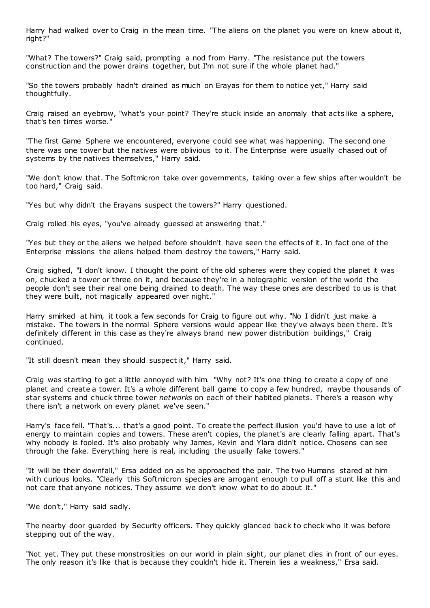Harry had walked over to Craig in the mean time. "The aliens on the planet you were on knew about it, right?"

"What? The towers?" Craig said, prompting a nod from Harry. "The resistance put the towers construction and the power drains together, but I'm not sure if the whole planet had."

"So the towers probably hadn't drained as much on Erayas for them to notice yet," Harry said thoughtfully.

Craig raised an eyebrow, "what's your point? They're stuck inside an anomaly that acts like a sphere, that's ten times worse."

"The first Game Sphere we encountered, everyone could see what was happening. The second one there was one tower but the natives were oblivious to it. The Enterprise were usually chased out of systems by the natives themselves," Harry said.

"We don't know that. The Softmicron take over governments, taking over a few ships after wouldn't be too hard," Craig said.

"Yes but why didn't the Erayans suspect the towers?" Harry questioned.

Craig rolled his eyes, "you've already guessed at answering that."

"Yes but they or the aliens we helped before shouldn't have seen the effects of it. In fact one of the Enterprise missions the aliens helped them destroy the towers," Harry said.

Craig sighed, "I don't know. I thought the point of the old spheres were they copied the planet it was on, chucked a tower or three on it, and because they're in a holographic version of the world the people don't see their real one being drained to death. The way these ones are described to us is that they were built, not magically appeared over night."

Harry smirked at him, it took a few seconds for Craig to figure out why. "No I didn't just make a mistake. The towers in the normal Sphere versions would appear like they've always been there. It's definitely different in this case as they're always brand new power distribution buildings," Craig continued.

"It still doesn't mean they should suspect it," Harry said.

Craig was starting to get a little annoyed with him. "Why not? It's one thing to create a copy of one planet and create a tower. It's a whole different ball game to copy a few hundred, maybe thousands of star systems and chuck three tower *networks* on each of their habited planets. There's a reason why there isn't a network on every planet we've seen."

Harry's face fell. "That's... that's a good point. To create the perfect illusion you'd have to use a lot of energy to maintain copies and towers. These aren't copies, the planet's are clearly falling apart. That's why nobody is fooled. It's also probably why James, Kevin and Ylara didn't notice. Chosens can see through the fake. Everything here is real, including the usually fake towers."

"It will be their downfall," Ersa added on as he approached the pair. The two Humans stared at him with curious looks. "Clearly this Softmicron species are arrogant enough to pull off a stunt like this and not care that anyone notices. They assume we don't know what to do about it."

"We don't," Harry said sadly.

The nearby door guarded by Security officers. They quickly glanced back to check who it was before stepping out of the way.

"Not yet. They put these monstrosities on our world in plain sight, our planet dies in front of our eyes. The only reason it's like that is because they couldn't hide it. Therein lies a weakness," Ersa said.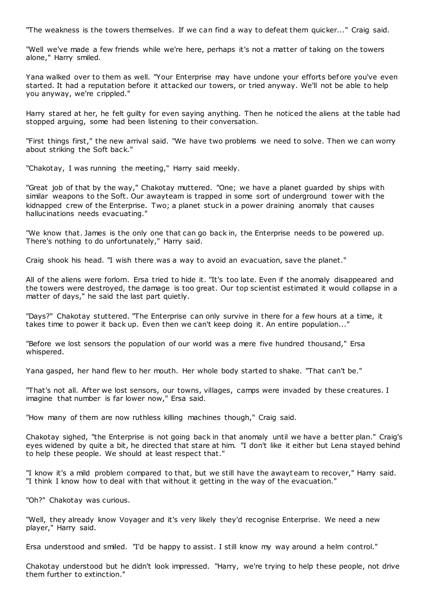"The weakness is the towers themselves. If we can find a way to defeat them quicker..." Craig said.

"Well we've made a few friends while we're here, perhaps it's not a matter of taking on the towers alone," Harry smiled.

Yana walked over to them as well. "Your Enterprise may have undone your efforts before you've even started. It had a reputation before it attacked our towers, or tried anyway. We'll not be able to help you anyway, we're crippled."

Harry stared at her, he felt guilty for even saying anything. Then he noticed the aliens at the table had stopped arguing, some had been listening to their conversation.

"First things first," the new arrival said. "We have two problems we need to solve. Then we can worry about striking the Soft back."

"Chakotay, I was running the meeting," Harry said meekly.

"Great job of that by the way," Chakotay muttered. "One; we have a planet guarded by ships with similar weapons to the Soft. Our awayteam is trapped in some sort of underground tower with the kidnapped crew of the Enterprise. Two; a planet stuck in a power draining anomaly that causes hallucinations needs evacuating."

"We know that. James is the only one that can go back in, the Enterprise needs to be powered up. There's nothing to do unfortunately," Harry said.

Craig shook his head. "I wish there was a way to avoid an evacuation, save the planet."

All of the aliens were forlorn. Ersa tried to hide it. "It's too late. Even if the anomaly disappeared and the towers were destroyed, the damage is too great. Our top scientist estimated it would collapse in a matter of days," he said the last part quietly.

"Days?" Chakotay stuttered. "The Enterprise can only survive in there for a few hours at a time, it takes time to power it back up. Even then we can't keep doing it. An entire population..."

"Before we lost sensors the population of our world was a mere five hundred thousand," Ersa whispered.

Yana gasped, her hand flew to her mouth. Her whole body started to shake. "That can't be."

"That's not all. After we lost sensors, our towns, villages, camps were invaded by these creatures. I imagine that number is far lower now," Ersa said.

"How many of them are now ruthless killing machines though," Craig said.

Chakotay sighed, "the Enterprise is not going back in that anomaly until we have a better plan." Craig's eyes widened by quite a bit, he directed that stare at him. "I don't like it either but Lena stayed behind to help these people. We should at least respect that."

"I know it's a mild problem compared to that, but we still have the awayt eam to recover," Harry said. "I think I know how to deal with that without it getting in the way of the evacuation."

"Oh?" Chakotay was curious.

"Well, they already know Voyager and it's very likely they'd recognise Enterprise. We need a new player," Harry said.

Ersa understood and smiled. "I'd be happy to assist. I still know my way around a helm control."

Chakotay understood but he didn't look impressed. "Harry, we're trying to help these people, not drive them further to extinction."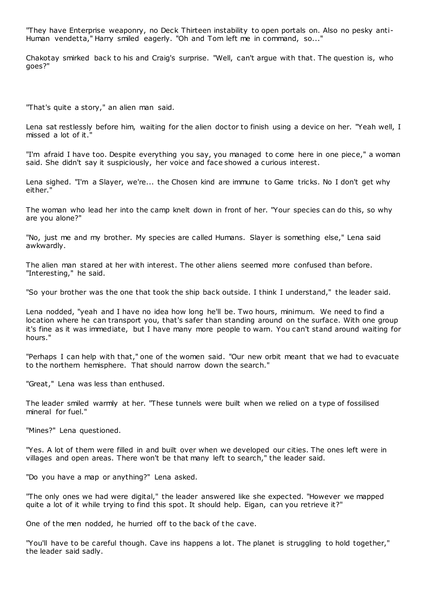"They have Enterprise weaponry, no Deck Thirteen instability to open portals on. Also no pesky anti-Human vendetta," Harry smiled eagerly. "Oh and Tom left me in command, so..."

Chakotay smirked back to his and Craig's surprise. "Well, can't argue with that. The question is, who goes?"

"That's quite a story," an alien man said.

Lena sat restlessly before him, waiting for the alien doctor to finish using a device on her. "Yeah well, I missed a lot of it.

"I'm afraid I have too. Despite everything you say, you managed to come here in one piece," a woman said. She didn't say it suspiciously, her voice and face showed a curious interest.

Lena sighed. "I'm a Slayer, we're... the Chosen kind are immune to Game tricks. No I don't get why either."

The woman who lead her into the camp knelt down in front of her. "Your species can do this, so why are you alone?"

"No, just me and my brother. My species are called Humans. Slayer is something else," Lena said awkwardly.

The alien man stared at her with interest. The other aliens seemed more confused than before. "Interesting," he said.

"So your brother was the one that took the ship back outside. I think I understand," the leader said.

Lena nodded, "yeah and I have no idea how long he'll be. Two hours, minimum. We need to find a location where he can transport you, that's safer than standing around on the surface. With one group it's fine as it was immediate, but I have many more people to warn. You can't stand around waiting for hours."

"Perhaps I can help with that," one of the women said. "Our new orbit meant that we had to evacuate to the northern hemisphere. That should narrow down the search."

"Great," Lena was less than enthused.

The leader smiled warmly at her. "These tunnels were built when we relied on a type of fossilised mineral for fuel."

"Mines?" Lena questioned.

"Yes. A lot of them were filled in and built over when we developed our cities. The ones left were in villages and open areas. There won't be that many left to search," the leader said.

"Do you have a map or anything?" Lena asked.

"The only ones we had were digital," the leader answered like she expected. "However we mapped quite a lot of it while trying to find this spot. It should help. Eigan, can you retrieve it?"

One of the men nodded, he hurried off to the back of the cave.

"You'll have to be careful though. Cave ins happens a lot. The planet is struggling to hold together," the leader said sadly.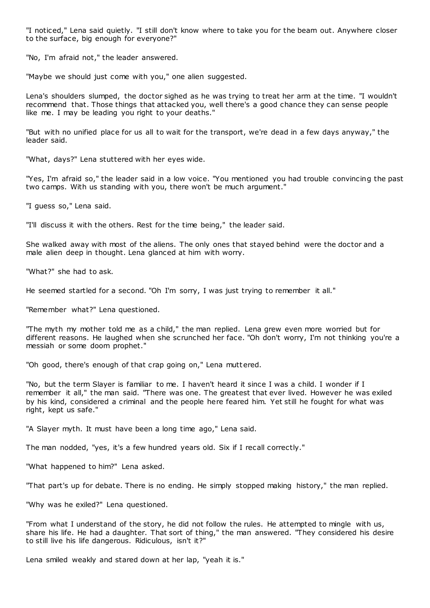"I noticed," Lena said quietly. "I still don't know where to take you for the beam out. Anywhere closer to the surface, big enough for everyone?"

"No, I'm afraid not," the leader answered.

"Maybe we should just come with you," one alien suggested.

Lena's shoulders slumped, the doctor sighed as he was trying to treat her arm at the time. "I wouldn't recommend that. Those things that attacked you, well there's a good chance they can sense people like me. I may be leading you right to your deaths."

"But with no unified place for us all to wait for the transport, we're dead in a few days anyway," the leader said.

"What, days?" Lena stuttered with her eyes wide.

"Yes, I'm afraid so," the leader said in a low voice. "You mentioned you had trouble convincing the past two camps. With us standing with you, there won't be much argument."

"I guess so," Lena said.

"I'll discuss it with the others. Rest for the time being," the leader said.

She walked away with most of the aliens. The only ones that stayed behind were the doctor and a male alien deep in thought. Lena glanced at him with worry.

"What?" she had to ask.

He seemed startled for a second. "Oh I'm sorry, I was just trying to remember it all."

"Remember what?" Lena questioned.

"The myth my mother told me as a child," the man replied. Lena grew even more worried but for different reasons. He laughed when she scrunched her face. "Oh don't worry, I'm not thinking you're a messiah or some doom prophet."

"Oh good, there's enough of that crap going on," Lena muttered.

"No, but the term Slayer is familiar to me. I haven't heard it since I was a child. I wonder if I remember it all," the man said. "There was one. The greatest that ever lived. However he was exiled by his kind, considered a criminal and the people here feared him. Yet still he fought for what was right, kept us safe."

"A Slayer myth. It must have been a long time ago," Lena said.

The man nodded, "yes, it's a few hundred years old. Six if I recall correctly."

"What happened to him?" Lena asked.

"That part's up for debate. There is no ending. He simply stopped making history," the man replied.

"Why was he exiled?" Lena questioned.

"From what I understand of the story, he did not follow the rules. He attempted to mingle with us, share his life. He had a daughter. That sort of thing," the man answered. "They considered his desire to still live his life dangerous. Ridiculous, isn't it?"

Lena smiled weakly and stared down at her lap, "yeah it is."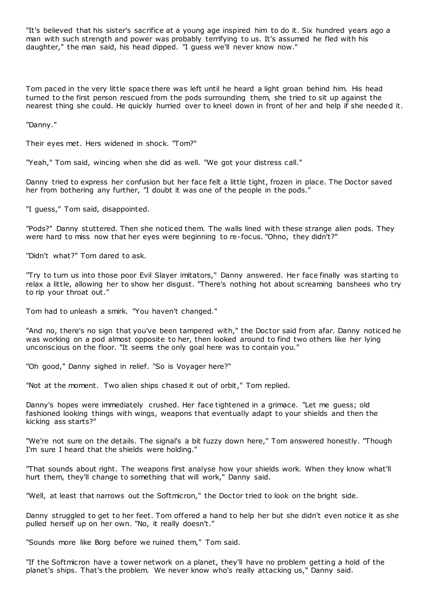"It's believed that his sister's sacrifice at a young age inspired him to do it. Six hundred years ago a man with such strength and power was probably terrifying to us. It's assumed he fled with his daughter," the man said, his head dipped. "I guess we'll never know now."

Tom paced in the very little space there was left until he heard a light groan behind him. His head turned to the first person rescued from the pods surrounding them, she tried to sit up against the nearest thing she could. He quickly hurried over to kneel down in front of her and help if she needed it.

"Danny."

Their eyes met. Hers widened in shock. "Tom?"

"Yeah," Tom said, wincing when she did as well. "We got your distress call."

Danny tried to express her confusion but her face felt a little tight, frozen in place. The Doctor saved her from bothering any further, "I doubt it was one of the people in the pods."

"I guess," Tom said, disappointed.

"Pods?" Danny stuttered. Then she noticed them. The walls lined with these strange alien pods. They were hard to miss now that her eyes were beginning to re-focus. "Ohno, they didn't?"

"Didn't what?" Tom dared to ask.

"Try to turn us into those poor Evil Slayer imitators," Danny answered. Her face finally was starting to relax a little, allowing her to show her disgust. "There's nothing hot about screaming banshees who try to rip your throat out."

Tom had to unleash a smirk. "You haven't changed."

"And no, there's no sign that you've been tampered with," the Doctor said from afar. Danny noticed he was working on a pod almost opposite to her, then looked around to find two others like her lying unconscious on the floor. "It seems the only goal here was to contain you."

"Oh good," Danny sighed in relief. "So is Voyager here?"

"Not at the moment. Two alien ships chased it out of orbit," Tom replied.

Danny's hopes were immediately crushed. Her face tightened in a grimace. "Let me guess; old fashioned looking things with wings, weapons that eventually adapt to your shields and then the kicking ass starts?"

"We're not sure on the details. The signal's a bit fuzzy down here," Tom answered honestly. "Though I'm sure I heard that the shields were holding."

"That sounds about right. The weapons first analyse how your shields work. When they know what'll hurt them, they'll change to something that will work," Danny said.

"Well, at least that narrows out the Softmicron," the Doctor tried to look on the bright side.

Danny struggled to get to her feet. Tom offered a hand to help her but she didn't even notice it as she pulled herself up on her own. "No, it really doesn't."

"Sounds more like Borg before we ruined them," Tom said.

"If the Softmicron have a tower network on a planet, they'll have no problem getting a hold of the planet's ships. That's the problem. We never know who's really attacking us," Danny said.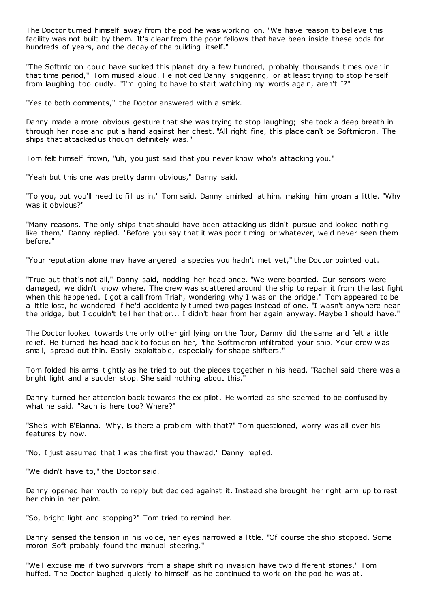The Doctor turned himself away from the pod he was working on. "We have reason to believe this facility was not built by them. It's clear from the poor fellows that have been inside these pods for hundreds of years, and the decay of the building itself."

"The Softmicron could have sucked this planet dry a few hundred, probably thousands times over in that time period," Tom mused aloud. He noticed Danny sniggering, or at least trying to stop herself from laughing too loudly. "I'm going to have to start watching my words again, aren't I?"

"Yes to both comments," the Doctor answered with a smirk.

Danny made a more obvious gesture that she was trying to stop laughing; she took a deep breath in through her nose and put a hand against her chest. "All right fine, this place can't be Softmicron. The ships that attacked us though definitely was."

Tom felt himself frown, "uh, you just said that you never know who's attacking you."

"Yeah but this one was pretty damn obvious," Danny said.

"To you, but you'll need to fill us in," Tom said. Danny smirked at him, making him groan a little. "Why was it obvious?"

"Many reasons. The only ships that should have been attacking us didn't pursue and looked nothing like them," Danny replied. "Before you say that it was poor timing or whatever, we'd never seen them before."

"Your reputation alone may have angered a species you hadn't met yet," the Doctor pointed out.

"True but that's not all," Danny said, nodding her head once. "We were boarded. Our sensors were damaged, we didn't know where. The crew was scattered around the ship to repair it from the last fight when this happened. I got a call from Triah, wondering why I was on the bridge." Tom appeared to be a little lost, he wondered if he'd accidentally turned two pages instead of one. "I wasn't anywhere near the bridge, but I couldn't tell her that or... I didn't hear from her again anyway. Maybe I should have."

The Doctor looked towards the only other girl lying on the floor, Danny did the same and felt a little relief. He turned his head back to focus on her, "the Softmicron infiltrated your ship. Your crew w as small, spread out thin. Easily exploitable, especially for shape shifters."

Tom folded his arms tightly as he tried to put the pieces together in his head. "Rachel said there was a bright light and a sudden stop. She said nothing about this."

Danny turned her attention back towards the ex pilot. He worried as she seemed to be confused by what he said. "Rach is here too? Where?"

"She's with B'Elanna. Why, is there a problem with that?" Tom questioned, worry was all over his features by now.

"No, I just assumed that I was the first you thawed," Danny replied.

"We didn't have to," the Doctor said.

Danny opened her mouth to reply but decided against it. Instead she brought her right arm up to rest her chin in her palm.

"So, bright light and stopping?" Tom tried to remind her.

Danny sensed the tension in his voice, her eyes narrowed a little. "Of course the ship stopped. Some moron Soft probably found the manual steering."

"Well excuse me if two survivors from a shape shifting invasion have two different stories," Tom huffed. The Doctor laughed quietly to himself as he continued to work on the pod he was at.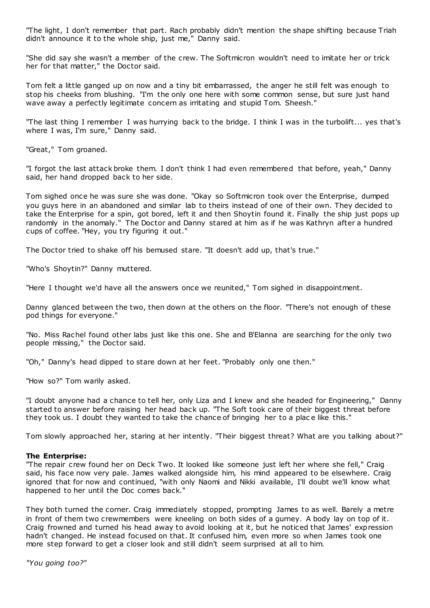"The light, I don't remember that part. Rach probably didn't mention the shape shifting because Triah didn't announce it to the whole ship, just me," Danny said.

"She did say she wasn't a member of the crew. The Softmicron wouldn't need to imitate her or trick her for that matter," the Doctor said.

Tom felt a little ganged up on now and a tiny bit embarrassed, the anger he still felt was enough to stop his cheeks from blushing. "I'm the only one here with some common sense, but sure just hand wave away a perfectly legitimate concern as irritating and stupid Tom. Sheesh."

"The last thing I remember I was hurrying back to the bridge. I think I was in the turbolift... yes that's where I was, I'm sure," Danny said.

"Great," Tom groaned.

"I forgot the last attack broke them. I don't think I had even remembered that before, yeah," Danny said, her hand dropped back to her side.

Tom sighed once he was sure she was done. "Okay so Softmicron took over the Enterprise, dumped you guys here in an abandoned and similar lab to theirs instead of one of their own. They decided to take the Enterprise for a spin, got bored, left it and then Shoytin found it. Finally the ship just pops up randomly in the anomaly." The Doctor and Danny stared at him as if he was Kathryn after a hundred cups of coffee. "Hey, you try figuring it out."

The Doctor tried to shake off his bemused stare. "It doesn't add up, that's true."

"Who's Shoytin?" Danny muttered.

"Here I thought we'd have all the answers once we reunited," Tom sighed in disappointment.

Danny glanced between the two, then down at the others on the floor. "There's not enough of these pod things for everyone."

"No. Miss Rachel found other labs just like this one. She and B'Elanna are searching for the only two people missing," the Doctor said.

"Oh," Danny's head dipped to stare down at her feet. "Probably only one then."

"How so?" Tom warily asked.

"I doubt anyone had a chance to tell her, only Liza and I knew and she headed for Engineering," Danny started to answer before raising her head back up. "The Soft took care of their biggest threat before they took us. I doubt they wanted to take the chance of bringing her to a place like this."

Tom slowly approached her, staring at her intently. "Their biggest threat? What are you talking about?"

## **The Enterprise:**

"The repair crew found her on Deck Two. It looked like someone just left her where she fell," Craig said, his face now very pale. James walked alongside him, his mind appeared to be elsewhere. Craig ignored that for now and continued, "with only Naomi and Nikki available, I'll doubt we'll know what happened to her until the Doc comes back."

They both turned the corner. Craig immediately stopped, prompting James to as well. Barely a metre in front of them two crewmembers were kneeling on both sides of a gurney. A body lay on top of it. Craig frowned and turned his head away to avoid looking at it, but he noticed that James' expression hadn't changed. He instead focused on that. It confused him, even more so when James took one more step forward to get a closer look and still didn't seem surprised at all to him.

*"You going too?"*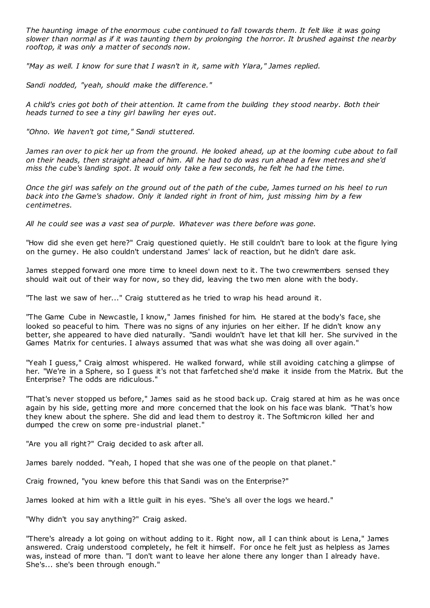*The haunting image of the enormous cube continued to fall towards them. It felt like it was going slower than normal as if it was taunting them by prolonging the horror. It brushed against the nearby rooftop, it was only a matter of seconds now.*

*"May as well. I know for sure that I wasn't in it, same with Ylara," James replied.*

*Sandi nodded, "yeah, should make the difference."*

*A child's cries got both of their attention. It came from the building they stood nearby. Both their heads turned to see a tiny girl bawling her eyes out.*

*"Ohno. We haven't got time," Sandi stuttered.*

James ran over to pick her up from the ground. He looked ahead, up at the looming cube about to fall *on their heads, then straight ahead of him. All he had to do was run ahead a few metres and she'd miss the cube's landing spot. It would only take a few seconds, he felt he had the time.*

*Once the girl was safely on the ground out of the path of the cube, James turned on his heel to run back into the Game's shadow. Only it landed right in front of him, just missing him by a few centimetres.*

*All he could see was a vast sea of purple. Whatever was there before was gone.*

"How did she even get here?" Craig questioned quietly. He still couldn't bare to look at the figure lying on the gurney. He also couldn't understand James' lack of reaction, but he didn't dare ask.

James stepped forward one more time to kneel down next to it. The two crewmembers sensed they should wait out of their way for now, so they did, leaving the two men alone with the body.

"The last we saw of her..." Craig stuttered as he tried to wrap his head around it.

"The Game Cube in Newcastle, I know," James finished for him. He stared at the body's face, she looked so peaceful to him. There was no signs of any injuries on her either. If he didn't know any better, she appeared to have died naturally. "Sandi wouldn't have let that kill her. She survived in the Games Matrix for centuries. I always assumed that was what she was doing all over again."

"Yeah I guess," Craig almost whispered. He walked forward, while still avoiding catching a glimpse of her. "We're in a Sphere, so I guess it's not that farfetched she'd make it inside from the Matrix. But the Enterprise? The odds are ridiculous."

"That's never stopped us before," James said as he stood back up. Craig stared at him as he was once again by his side, getting more and more concerned that the look on his face was blank. "That's how they knew about the sphere. She did and lead them to destroy it. The Softmicron killed her and dumped the crew on some pre-industrial planet."

"Are you all right?" Craig decided to ask after all.

James barely nodded. "Yeah, I hoped that she was one of the people on that planet."

Craig frowned, "you knew before this that Sandi was on the Enterprise?"

James looked at him with a little guilt in his eyes. "She's all over the logs we heard."

"Why didn't you say anything?" Craig asked.

"There's already a lot going on without adding to it. Right now, all I can think about is Lena," James answered. Craig understood completely, he felt it himself. For once he felt just as helpless as James was, instead of more than. "I don't want to leave her alone there any longer than I already have. She's... she's been through enough."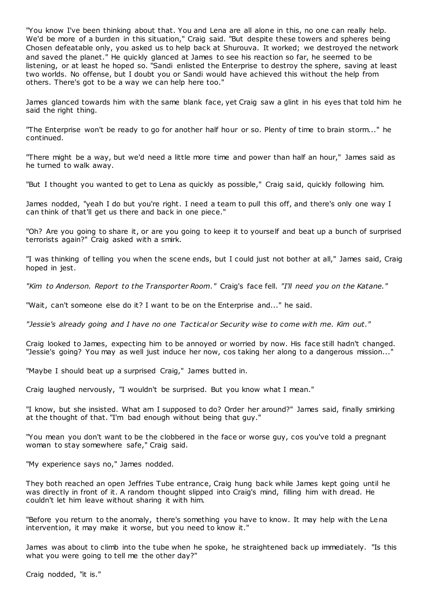"You know I've been thinking about that. You and Lena are all alone in this, no one can really help. We'd be more of a burden in this situation," Craig said. "But despite these towers and spheres being Chosen defeatable only, you asked us to help back at Shurouva. It worked; we destroyed the network and saved the planet." He quickly glanced at James to see his reaction so far, he seemed to be listening, or at least he hoped so. "Sandi enlisted the Enterprise to destroy the sphere, saving at least two worlds. No offense, but I doubt you or Sandi would have achieved this without the help from others. There's got to be a way we can help here too."

James glanced towards him with the same blank face, yet Craig saw a glint in his eyes that told him he said the right thing.

"The Enterprise won't be ready to go for another half hour or so. Plenty of time to brain storm..." he continued.

"There might be a way, but we'd need a little more time and power than half an hour," James said as he turned to walk away.

"But I thought you wanted to get to Lena as quickly as possible," Craig said, quickly following him.

James nodded, "yeah I do but you're right. I need a team to pull this off, and there's only one way I can think of that'll get us there and back in one piece."

"Oh? Are you going to share it, or are you going to keep it to yourself and beat up a bunch of surprised terrorists again?" Craig asked with a smirk.

"I was thinking of telling you when the scene ends, but I could just not bother at all," James said, Craig hoped in jest.

*"Kim to Anderson. Report to the Transporter Room."* Craig's face fell. *"I'll need you on the Katane."*

"Wait, can't someone else do it? I want to be on the Enterprise and..." he said.

*"Jessie's already going and I have no one Tactical or Security wise to come with me. Kim out."*

Craig looked to James, expecting him to be annoyed or worried by now. His face still hadn't changed. "Jessie's going? You may as well just induce her now, cos taking her along to a dangerous mission..."

"Maybe I should beat up a surprised Craig," James butted in.

Craig laughed nervously, "I wouldn't be surprised. But you know what I mean."

"I know, but she insisted. What am I supposed to do? Order her around?" James said, finally smirking at the thought of that. "I'm bad enough without being that guy."

"You mean you don't want to be the clobbered in the face or worse guy, cos you've told a pregnant woman to stay somewhere safe," Craig said.

"My experience says no," James nodded.

They both reached an open Jeffries Tube entrance, Craig hung back while James kept going until he was directly in front of it. A random thought slipped into Craig's mind, filling him with dread. He couldn't let him leave without sharing it with him.

"Before you return to the anomaly, there's something you have to know. It may help with the Lena intervention, it may make it worse, but you need to know it."

James was about to climb into the tube when he spoke, he straightened back up immediately. "Is this what you were going to tell me the other day?"

Craig nodded, "it is."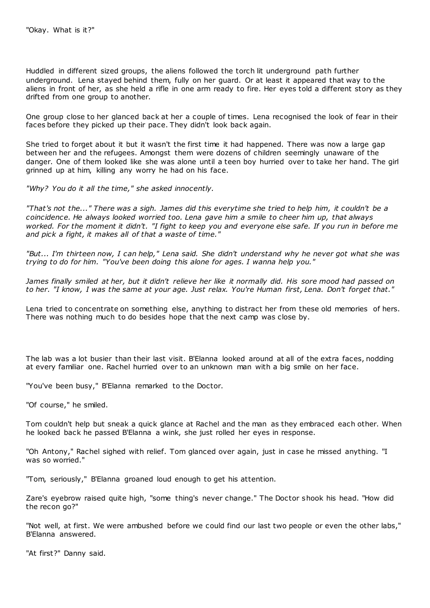Huddled in different sized groups, the aliens followed the torch lit underground path further underground. Lena stayed behind them, fully on her guard. Or at least it appeared that way to the aliens in front of her, as she held a rifle in one arm ready to fire. Her eyes told a different story as they drifted from one group to another.

One group close to her glanced back at her a couple of times. Lena recognised the look of fear in their faces before they picked up their pace. They didn't look back again.

She tried to forget about it but it wasn't the first time it had happened. There was now a large gap between her and the refugees. Amongst them were dozens of children seemingly unaware of the danger. One of them looked like she was alone until a teen boy hurried over to take her hand. The girl grinned up at him, killing any worry he had on his face.

*"Why? You do it all the time," she asked innocently.*

*"That's not the..." There was a sigh. James did this everytime she tried to help him, it couldn't be a coincidence. He always looked worried too. Lena gave him a smile to cheer him up, that always worked. For the moment it didn't. "I fight to keep you and everyone else safe. If you run in before me and pick a fight, it makes all of that a waste of time."*

*"But... I'm thirteen now, I can help," Lena said. She didn't understand why he never got what she was trying to do for him. "You've been doing this alone for ages. I wanna help you."*

*James finally smiled at her, but it didn't relieve her like it normally did. His sore mood had passed on to her. "I know, I was the same at your age. Just relax. You're Human first, Lena. Don't forget that."*

Lena tried to concentrate on something else, anything to distract her from these old memories of hers. There was nothing much to do besides hope that the next camp was close by.

The lab was a lot busier than their last visit. B'Elanna looked around at all of the extra faces, nodding at every familiar one. Rachel hurried over to an unknown man with a big smile on her face.

"You've been busy," B'Elanna remarked to the Doctor.

"Of course," he smiled.

Tom couldn't help but sneak a quick glance at Rachel and the man as they embraced each other. When he looked back he passed B'Elanna a wink, she just rolled her eyes in response.

"Oh Antony," Rachel sighed with relief. Tom glanced over again, just in case he missed anything. "I was so worried."

"Tom, seriously," B'Elanna groaned loud enough to get his attention.

Zare's eyebrow raised quite high, "some thing's never change." The Doctor shook his head. "How did the recon go?"

"Not well, at first. We were ambushed before we could find our last two people or even the other labs," B'Elanna answered.

"At first?" Danny said.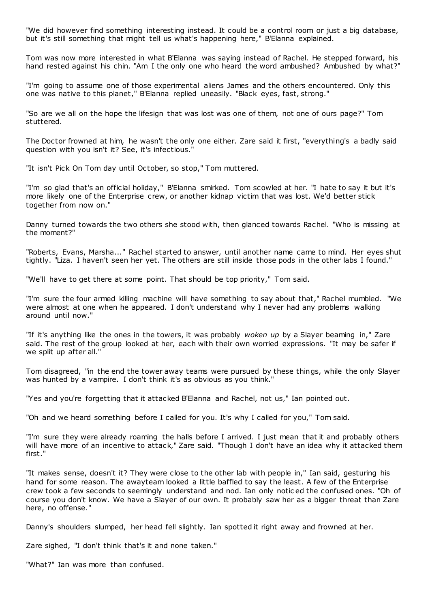"We did however find something interesting instead. It could be a control room or just a big database, but it's still something that might tell us what's happening here," B'Elanna explained.

Tom was now more interested in what B'Elanna was saying instead of Rachel. He stepped forward, his hand rested against his chin. "Am I the only one who heard the word ambushed? Ambushed by what?"

"I'm going to assume one of those experimental aliens James and the others encountered. Only this one was native to this planet," B'Elanna replied uneasily. "Black eyes, fast, strong."

"So are we all on the hope the lifesign that was lost was one of them, not one of ours page?" Tom stuttered.

The Doctor frowned at him, he wasn't the only one either. Zare said it first, "everything's a badly said question with you isn't it? See, it's infectious."

"It isn't Pick On Tom day until October, so stop," Tom muttered.

"I'm so glad that's an official holiday," B'Elanna smirked. Tom scowled at her. "I hate to say it but it's more likely one of the Enterprise crew, or another kidnap victim that was lost. We'd better stick together from now on."

Danny turned towards the two others she stood with, then glanced towards Rachel. "Who is missing at the moment?"

"Roberts, Evans, Marsha..." Rachel started to answer, until another name came to mind. Her eyes shut tightly. "Liza. I haven't seen her yet. The others are still inside those pods in the other labs I found."

"We'll have to get there at some point. That should be top priority," Tom said.

"I'm sure the four armed killing machine will have something to say about that," Rachel mumbled. "We were almost at one when he appeared. I don't understand why I never had any problems walking around until now."

"If it's anything like the ones in the towers, it was probably *woken up* by a Slayer beaming in," Zare said. The rest of the group looked at her, each with their own worried expressions. "It may be safer if we split up after all."

Tom disagreed, "in the end the tower away teams were pursued by these things, while the only Slayer was hunted by a vampire. I don't think it's as obvious as you think."

"Yes and you're forgetting that it attacked B'Elanna and Rachel, not us," Ian pointed out.

"Oh and we heard something before I called for you. It's why I called for you," Tom said.

"I'm sure they were already roaming the halls before I arrived. I just mean that it and probably others will have more of an incentive to attack," Zare said. "Though I don't have an idea why it attacked them first."

"It makes sense, doesn't it? They were close to the other lab with people in," Ian said, gesturing his hand for some reason. The awayteam looked a little baffled to say the least. A few of the Enterprise crew took a few seconds to seemingly understand and nod. Ian only notic ed the confused ones. "Oh of course you don't know. We have a Slayer of our own. It probably saw her as a bigger threat than Zare here, no offense."

Danny's shoulders slumped, her head fell slightly. Ian spotted it right away and frowned at her.

Zare sighed, "I don't think that's it and none taken."

"What?" Ian was more than confused.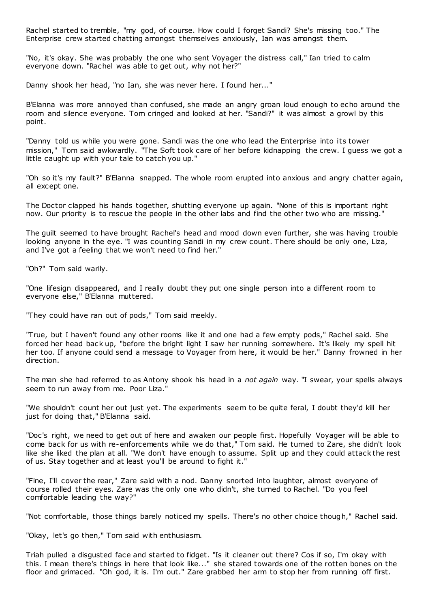Rachel started to tremble, "my god, of course. How could I forget Sandi? She's missing too." The Enterprise crew started chatting amongst themselves anxiously, Ian was amongst them.

"No, it's okay. She was probably the one who sent Voyager the distress call," Ian tried to calm everyone down. "Rachel was able to get out, why not her?"

Danny shook her head, "no Ian, she was never here. I found her..."

B'Elanna was more annoyed than confused, she made an angry groan loud enough to echo around the room and silence everyone. Tom cringed and looked at her. "Sandi?" it was almost a growl by this point.

"Danny told us while you were gone. Sandi was the one who lead the Enterprise into its tower mission," Tom said awkwardly. "The Soft took care of her before kidnapping the crew. I guess we got a little caught up with your tale to catch you up."

"Oh so it's my fault?" B'Elanna snapped. The whole room erupted into anxious and angry chatter again, all except one.

The Doctor clapped his hands together, shutting everyone up again. "None of this is important right now. Our priority is to rescue the people in the other labs and find the other two who are missing."

The guilt seemed to have brought Rachel's head and mood down even further, she was having trouble looking anyone in the eye. "I was counting Sandi in my crew count. There should be only one, Liza, and I've got a feeling that we won't need to find her."

"Oh?" Tom said warily.

"One lifesign disappeared, and I really doubt they put one single person into a different room to everyone else," B'Elanna muttered.

"They could have ran out of pods," Tom said meekly.

"True, but I haven't found any other rooms like it and one had a few empty pods," Rachel said. She forced her head back up, "before the bright light I saw her running somewhere. It's likely my spell hit her too. If anyone could send a message to Voyager from here, it would be her." Danny frowned in her direction.

The man she had referred to as Antony shook his head in a *not again* way. "I swear, your spells always seem to run away from me. Poor Liza."

"We shouldn't count her out just yet. The experiments seem to be quite feral, I doubt they'd kill her just for doing that," B'Elanna said.

"Doc's right, we need to get out of here and awaken our people first. Hopefully Voyager will be able to come back for us with re-enforcements while we do that," Tom said. He turned to Zare, she didn't look like she liked the plan at all. "We don't have enough to assume. Split up and they could attack the rest of us. Stay together and at least you'll be around to fight it."

"Fine, I'll cover the rear," Zare said with a nod. Danny snorted into laughter, almost everyone of course rolled their eyes. Zare was the only one who didn't, she turned to Rachel. "Do you feel comfortable leading the way?"

"Not comfortable, those things barely noticed my spells. There's no other choice though," Rachel said.

"Okay, let's go then," Tom said with enthusiasm.

Triah pulled a disgusted face and started to fidget. "Is it cleaner out there? Cos if so, I'm okay with this. I mean there's things in here that look like..." she stared towards one of the rotten bones on the floor and grimaced. "Oh god, it is. I'm out." Zare grabbed her arm to stop her from running off first.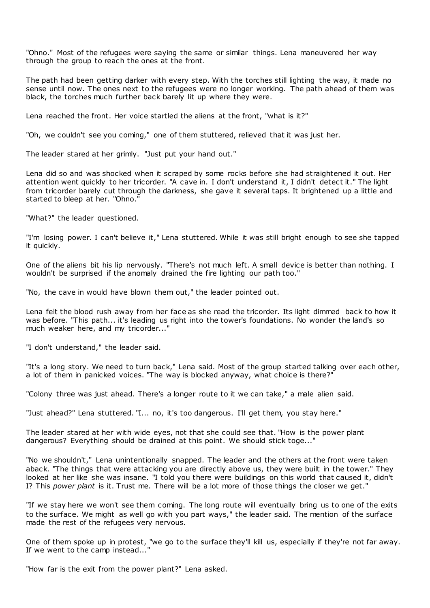"Ohno." Most of the refugees were saying the same or similar things. Lena maneuvered her way through the group to reach the ones at the front.

The path had been getting darker with every step. With the torches still lighting the way, it made no sense until now. The ones next to the refugees were no longer working. The path ahead of them was black, the torches much further back barely lit up where they were.

Lena reached the front. Her voice startled the aliens at the front, "what is it?"

"Oh, we couldn't see you coming," one of them stuttered, relieved that it was just her.

The leader stared at her grimly. "Just put your hand out."

Lena did so and was shocked when it scraped by some rocks before she had straightened it out. Her attention went quickly to her tricorder. "A cave in. I don't understand it, I didn't detect it." The light from tricorder barely cut through the darkness, she gave it several taps. It brightened up a little and started to bleep at her. "Ohno."

"What?" the leader questioned.

"I'm losing power. I can't believe it," Lena stuttered. While it was still bright enough to see she tapped it quickly.

One of the aliens bit his lip nervously. "There's not much left. A small device is better than nothing. I wouldn't be surprised if the anomaly drained the fire lighting our path too."

"No, the cave in would have blown them out," the leader pointed out.

Lena felt the blood rush away from her face as she read the tricorder. Its light dimmed back to how it was before. "This path... it's leading us right into the tower's foundations. No wonder the land's so much weaker here, and my tricorder..."

"I don't understand," the leader said.

"It's a long story. We need to turn back," Lena said. Most of the group started talking over each other, a lot of them in panicked voices. "The way is blocked anyway, what choice is there?"

"Colony three was just ahead. There's a longer route to it we can take," a male alien said.

"Just ahead?" Lena stuttered. "I... no, it's too dangerous. I'll get them, you stay here."

The leader stared at her with wide eyes, not that she could see that. "How is the power plant dangerous? Everything should be drained at this point. We should stick toge..."

"No we shouldn't," Lena unintentionally snapped. The leader and the others at the front were taken aback. "The things that were attacking you are directly above us, they were built in the tower." They looked at her like she was insane. "I told you there were buildings on this world that caused it, didn't I? This *power plant* is it. Trust me. There will be a lot more of those things the closer we get."

"If we stay here we won't see them coming. The long route will eventually bring us to one of the exits to the surface. We might as well go with you part ways," the leader said. The mention of the surface made the rest of the refugees very nervous.

One of them spoke up in protest, "we go to the surface they'll kill us, especially if they're not far away. If we went to the camp instead...

"How far is the exit from the power plant?" Lena asked.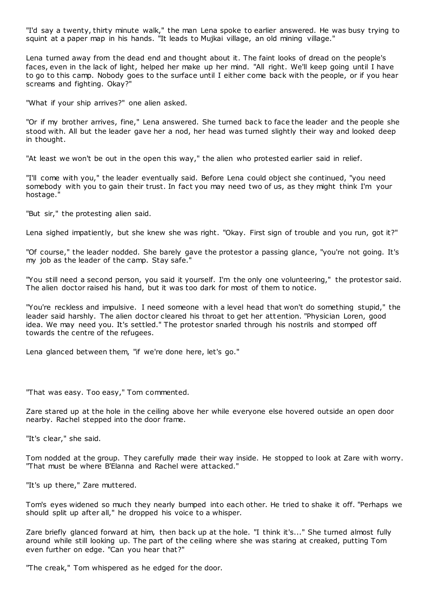"I'd say a twenty, thirty minute walk," the man Lena spoke to earlier answered. He was busy trying to squint at a paper map in his hands. "It leads to Mujkai village, an old mining village."

Lena turned away from the dead end and thought about it. The faint looks of dread on the people's faces, even in the lack of light, helped her make up her mind. "All right. We'll keep going until I have to go to this camp. Nobody goes to the surface until I either come back with the people, or if you hear screams and fighting. Okay?"

"What if your ship arrives?" one alien asked.

"Or if my brother arrives, fine," Lena answered. She turned back to face the leader and the people she stood with. All but the leader gave her a nod, her head was turned slightly their way and looked deep in thought.

"At least we won't be out in the open this way," the alien who protested earlier said in relief.

"I'll come with you," the leader eventually said. Before Lena could object she continued, "you need somebody with you to gain their trust. In fact you may need two of us, as they might think I'm your hostage."

"But sir," the protesting alien said.

Lena sighed impatiently, but she knew she was right. "Okay. First sign of trouble and you run, got it?"

"Of course," the leader nodded. She barely gave the protestor a passing glance, "you're not going. It's my job as the leader of the camp. Stay safe."

"You still need a second person, you said it yourself. I'm the only one volunteering," the protestor said. The alien doctor raised his hand, but it was too dark for most of them to notice.

"You're reckless and impulsive. I need someone with a level head that won't do something stupid," the leader said harshly. The alien doctor cleared his throat to get her att ention. "Physician Loren, good idea. We may need you. It's settled." The protestor snarled through his nostrils and stomped off towards the centre of the refugees.

Lena glanced between them, "if we're done here, let's go."

"That was easy. Too easy," Tom commented.

Zare stared up at the hole in the ceiling above her while everyone else hovered outside an open door nearby. Rachel stepped into the door frame.

"It's clear," she said.

Tom nodded at the group. They carefully made their way inside. He stopped to look at Zare with worry. "That must be where B'Elanna and Rachel were attacked."

"It's up there," Zare muttered.

Tom's eyes widened so much they nearly bumped into each other. He tried to shake it off. "Perhaps we should split up after all," he dropped his voice to a whisper.

Zare briefly glanced forward at him, then back up at the hole. "I think it's..." She turned almost fully around while still looking up. The part of the ceiling where she was staring at creaked, putting Tom even further on edge. "Can you hear that?"

"The creak," Tom whispered as he edged for the door.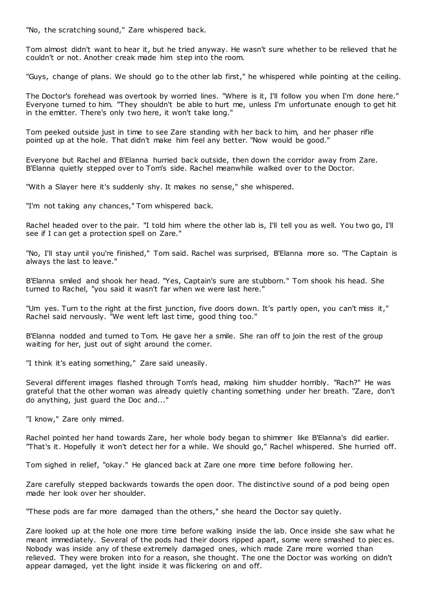"No, the scratching sound," Zare whispered back.

Tom almost didn't want to hear it, but he tried anyway. He wasn't sure whether to be relieved that he couldn't or not. Another creak made him step into the room.

"Guys, change of plans. We should go to the other lab first," he whispered while pointing at the ceiling.

The Doctor's forehead was overtook by worried lines. "Where is it, I'll follow you when I'm done here." Everyone turned to him. "They shouldn't be able to hurt me, unless I'm unfortunate enough to get hit in the emitter. There's only two here, it won't take long."

Tom peeked outside just in time to see Zare standing with her back to him, and her phaser rifle pointed up at the hole. That didn't make him feel any better. "Now would be good."

Everyone but Rachel and B'Elanna hurried back outside, then down the corridor away from Zare. B'Elanna quietly stepped over to Tom's side. Rachel meanwhile walked over to the Doctor.

"With a Slayer here it's suddenly shy. It makes no sense," she whispered.

"I'm not taking any chances," Tom whispered back.

Rachel headed over to the pair. "I told him where the other lab is, I'll tell you as well. You two go, I'll see if I can get a protection spell on Zare."

"No, I'll stay until you're finished," Tom said. Rachel was surprised, B'Elanna more so. "The Captain is always the last to leave."

B'Elanna smiled and shook her head. "Yes, Captain's sure are stubborn." Tom shook his head. She turned to Rachel, "you said it wasn't far when we were last here."

"Um yes. Turn to the right at the first junction, five doors down. It's partly open, you can't miss it," Rachel said nervously. "We went left last time, good thing too."

B'Elanna nodded and turned to Tom. He gave her a smile. She ran off to join the rest of the group waiting for her, just out of sight around the corner.

"I think it's eating something," Zare said uneasily.

Several different images flashed through Tom's head, making him shudder horribly. "Rach?" He was grateful that the other woman was already quietly chanting something under her breath. "Zare, don't do anything, just guard the Doc and..."

"I know," Zare only mimed.

Rachel pointed her hand towards Zare, her whole body began to shimmer like B'Elanna's did earlier. "That's it. Hopefully it won't detect her for a while. We should go," Rachel whispered. She hurried off.

Tom sighed in relief, "okay." He glanced back at Zare one more time before following her.

Zare carefully stepped backwards towards the open door. The distinctive sound of a pod being open made her look over her shoulder.

"These pods are far more damaged than the others," she heard the Doctor say quietly.

Zare looked up at the hole one more time before walking inside the lab. Once inside she saw what he meant immediately. Several of the pods had their doors ripped apart, some were smashed to piec es. Nobody was inside any of these extremely damaged ones, which made Zare more worried than relieved. They were broken into for a reason, she thought. The one the Doctor was working on didn't appear damaged, yet the light inside it was flickering on and off.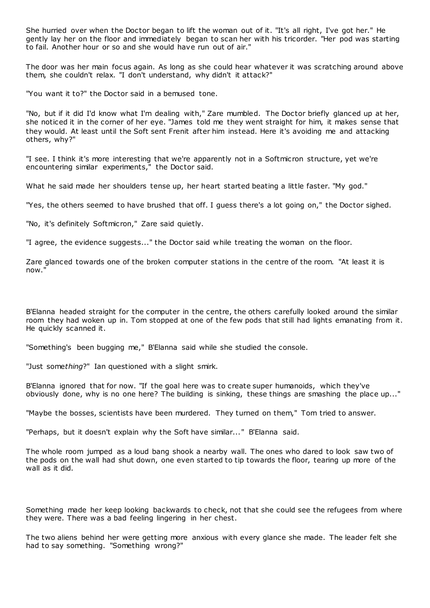She hurried over when the Doctor began to lift the woman out of it. "It's all right, I've got her." He gently lay her on the floor and immediately began to scan her with his tricorder. "Her pod was starting to fail. Another hour or so and she would have run out of air."

The door was her main focus again. As long as she could hear whatever it was scratching around above them, she couldn't relax. "I don't understand, why didn't it attack?"

"You want it to?" the Doctor said in a bemused tone.

"No, but if it did I'd know what I'm dealing with," Zare mumbled. The Doctor briefly glanced up at her, she noticed it in the corner of her eye. "James told me they went straight for him, it makes sense that they would. At least until the Soft sent Frenit after him instead. Here it's avoiding me and attacking others, why?"

"I see. I think it's more interesting that we're apparently not in a Softmicron structure, yet we're encountering similar experiments," the Doctor said.

What he said made her shoulders tense up, her heart started beating a little faster. "My god."

"Yes, the others seemed to have brushed that off. I guess there's a lot going on," the Doctor sighed.

"No, it's definitely Softmicron," Zare said quietly.

"I agree, the evidence suggests..." the Doctor said while treating the woman on the floor.

Zare glanced towards one of the broken computer stations in the centre of the room. "At least it is now."

B'Elanna headed straight for the computer in the centre, the others carefully looked around the similar room they had woken up in. Tom stopped at one of the few pods that still had lights emanating from it. He quickly scanned it.

"Something's been bugging me," B'Elanna said while she studied the console.

"Just some*thing*?" Ian questioned with a slight smirk.

B'Elanna ignored that for now. "If the goal here was to create super humanoids, which they've obviously done, why is no one here? The building is sinking, these things are smashing the place up..."

"Maybe the bosses, scientists have been murdered. They turned on them," Tom tried to answer.

"Perhaps, but it doesn't explain why the Soft have similar..." B'Elanna said.

The whole room jumped as a loud bang shook a nearby wall. The ones who dared to look saw two of the pods on the wall had shut down, one even started to tip towards the floor, tearing up more of the wall as it did.

Something made her keep looking backwards to check, not that she could see the refugees from where they were. There was a bad feeling lingering in her chest.

The two aliens behind her were getting more anxious with every glance she made. The leader felt she had to say something. "Something wrong?"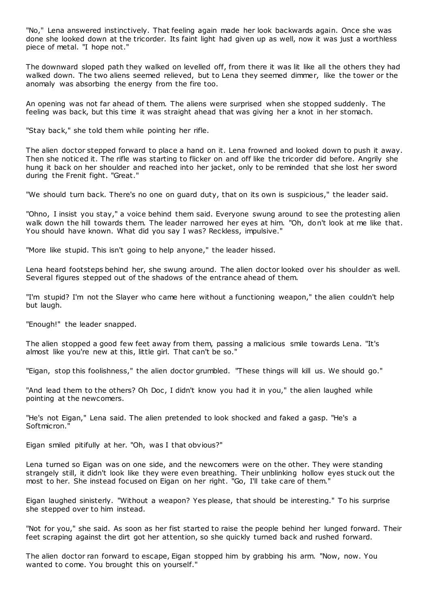"No," Lena answered instinctively. That feeling again made her look backwards again. Once she was done she looked down at the tricorder. Its faint light had given up as well, now it was just a worthless piece of metal. "I hope not."

The downward sloped path they walked on levelled off, from there it was lit like all the others they had walked down. The two aliens seemed relieved, but to Lena they seemed dimmer, like the tower or the anomaly was absorbing the energy from the fire too.

An opening was not far ahead of them. The aliens were surprised when she stopped suddenly. The feeling was back, but this time it was straight ahead that was giving her a knot in her stomach.

"Stay back," she told them while pointing her rifle.

The alien doctor stepped forward to place a hand on it. Lena frowned and looked down to push it away. Then she noticed it. The rifle was starting to flicker on and off like the tricorder did before. Angrily she hung it back on her shoulder and reached into her jacket, only to be reminded that she lost her sword during the Frenit fight. "Great."

"We should turn back. There's no one on guard duty, that on its own is suspicious," the leader said.

"Ohno, I insist you stay," a voice behind them said. Everyone swung around to see the protesting alien walk down the hill towards them. The leader narrowed her eyes at him. "Oh, don't look at me like that. You should have known. What did you say I was? Reckless, impulsive."

"More like stupid. This isn't going to help anyone," the leader hissed.

Lena heard footsteps behind her, she swung around. The alien doctor looked over his shoulder as well. Several figures stepped out of the shadows of the entrance ahead of them.

"I'm stupid? I'm not the Slayer who came here without a functioning weapon," the alien couldn't help but laugh.

"Enough!" the leader snapped.

The alien stopped a good few feet away from them, passing a malicious smile towards Lena. "It's almost like you're new at this, little girl. That can't be so."

"Eigan, stop this foolishness," the alien doctor grumbled. "These things will kill us. We should go."

"And lead them to the others? Oh Doc, I didn't know you had it in you," the alien laughed while pointing at the newcomers.

"He's not Eigan," Lena said. The alien pretended to look shocked and faked a gasp. "He's a Softmicron."

Eigan smiled pitifully at her. "Oh, was I that obvious?"

Lena turned so Eigan was on one side, and the newcomers were on the other. They were standing strangely still, it didn't look like they were even breathing. Their unblinking hollow eyes stuck out the most to her. She instead focused on Eigan on her right. "Go, I'll take care of them."

Eigan laughed sinisterly. "Without a weapon? Yes please, that should be interesting." To his surprise she stepped over to him instead.

"Not for you," she said. As soon as her fist started to raise the people behind her lunged forward. Their feet scraping against the dirt got her attention, so she quickly turned back and rushed forward.

The alien doctor ran forward to escape, Eigan stopped him by grabbing his arm. "Now, now. You wanted to come. You brought this on yourself."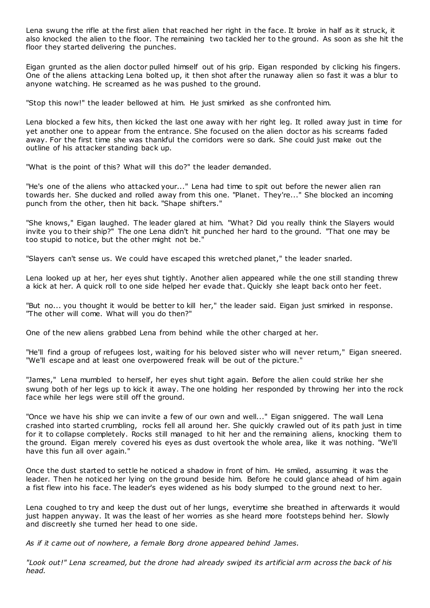Lena swung the rifle at the first alien that reached her right in the face. It broke in half as it struck, it also knocked the alien to the floor. The remaining two tackled her to the ground. As soon as she hit the floor they started delivering the punches.

Eigan grunted as the alien doctor pulled himself out of his grip. Eigan responded by clicking his fingers. One of the aliens attacking Lena bolted up, it then shot after the runaway alien so fast it was a blur to anyone watching. He screamed as he was pushed to the ground.

"Stop this now!" the leader bellowed at him. He just smirked as she confronted him.

Lena blocked a few hits, then kicked the last one away with her right leg. It rolled away just in time for yet another one to appear from the entrance. She focused on the alien doctor as his screams faded away. For the first time she was thankful the corridors were so dark. She could just make out the outline of his attacker standing back up.

"What is the point of this? What will this do?" the leader demanded.

"He's one of the aliens who attacked your..." Lena had time to spit out before the newer alien ran towards her. She ducked and rolled away from this one. "Planet. They're..." She blocked an incoming punch from the other, then hit back. "Shape shifters."

"She knows," Eigan laughed. The leader glared at him. "What? Did you really think the Slayers would invite you to their ship?" The one Lena didn't hit punched her hard to the ground. "That one may be too stupid to notice, but the other might not be."

"Slayers can't sense us. We could have escaped this wretched planet," the leader snarled.

Lena looked up at her, her eyes shut tightly. Another alien appeared while the one still standing threw a kick at her. A quick roll to one side helped her evade that. Quickly she leapt back onto her feet.

"But no... you thought it would be better to kill her," the leader said. Eigan just smirked in response. "The other will come. What will you do then?"

One of the new aliens grabbed Lena from behind while the other charged at her.

"He'll find a group of refugees lost, waiting for his beloved sister who will never return," Eigan sneered. "We'll escape and at least one overpowered freak will be out of the picture."

"James," Lena mumbled to herself, her eyes shut tight again. Before the alien could strike her she swung both of her legs up to kick it away. The one holding her responded by throwing her into the rock face while her legs were still off the ground.

"Once we have his ship we can invite a few of our own and well..." Eigan sniggered. The wall Lena crashed into started crumbling, rocks fell all around her. She quickly crawled out of its path just in time for it to collapse completely. Rocks still managed to hit her and the remaining aliens, knocking them to the ground. Eigan merely covered his eyes as dust overtook the whole area, like it was nothing. "We'll have this fun all over again."

Once the dust started to settle he noticed a shadow in front of him. He smiled, assuming it was the leader. Then he noticed her lying on the ground beside him. Before he could glance ahead of him again a fist flew into his face. The leader's eyes widened as his body slumped to the ground next to her.

Lena coughed to try and keep the dust out of her lungs, everytime she breathed in afterwards it would just happen anyway. It was the least of her worries as she heard more footsteps behind her. Slowly and discreetly she turned her head to one side.

*As if it came out of nowhere, a female Borg drone appeared behind James.*

*"Look out!" Lena screamed, but the drone had already swiped its artificial arm across the back of his head.*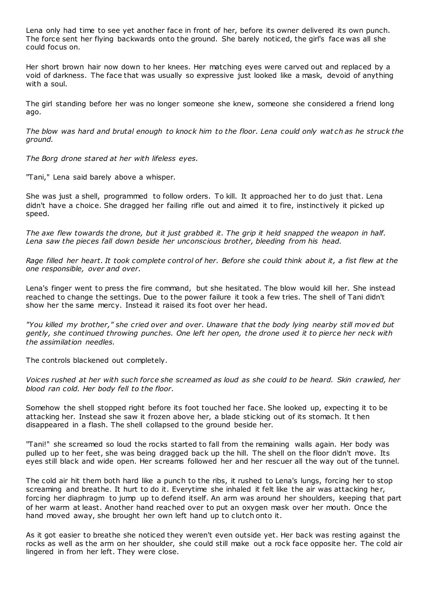Lena only had time to see yet another face in front of her, before its owner delivered its own punch. The force sent her flying backwards onto the ground. She barely noticed, the girl's face was all she could focus on.

Her short brown hair now down to her knees. Her matching eyes were carved out and replaced by a void of darkness. The face that was usually so expressive just looked like a mask, devoid of anything with a soul.

The girl standing before her was no longer someone she knew, someone she considered a friend long ago.

*The blow was hard and brutal enough to knock him to the floor. Lena could only wat ch as he struck the ground.*

*The Borg drone stared at her with lifeless eyes.*

"Tani," Lena said barely above a whisper.

She was just a shell, programmed to follow orders. To kill. It approached her to do just that. Lena didn't have a choice. She dragged her failing rifle out and aimed it to fire, instinctively it picked up speed.

*The axe flew towards the drone, but it just grabbed it. The grip it held snapped the weapon in half. Lena saw the pieces fall down beside her unconscious brother, bleeding from his head.*

*Rage filled her heart. It took complete control of her. Before she could think about it, a fist flew at the one responsible, over and over.*

Lena's finger went to press the fire command, but she hesitated. The blow would kill her. She instead reached to change the settings. Due to the power failure it took a few tries. The shell of Tani didn't show her the same mercy. Instead it raised its foot over her head.

*"You killed my brother," she cried over and over. Unaware that the body lying nearby still mov ed but gently, she continued throwing punches. One left her open, the drone used it to pierce her neck with the assimilation needles.*

The controls blackened out completely.

*Voices rushed at her with such force she screamed as loud as she could to be heard. Skin crawled, her blood ran cold. Her body fell to the floor.*

Somehow the shell stopped right before its foot touched her face. She looked up, expecting it to be attacking her. Instead she saw it frozen above her, a blade sticking out of its stomach. It t hen disappeared in a flash. The shell collapsed to the ground beside her.

"Tani!" she screamed so loud the rocks started to fall from the remaining walls again. Her body was pulled up to her feet, she was being dragged back up the hill. The shell on the floor didn't move. Its eyes still black and wide open. Her screams followed her and her rescuer all the way out of the tunnel.

The cold air hit them both hard like a punch to the ribs, it rushed to Lena's lungs, forcing her to stop screaming and breathe. It hurt to do it. Everytime she inhaled it felt like the air was attacking her, forcing her diaphragm to jump up to defend itself. An arm was around her shoulders, keeping that part of her warm at least. Another hand reached over to put an oxygen mask over her mouth. Once the hand moved away, she brought her own left hand up to clutch onto it.

As it got easier to breathe she noticed they weren't even outside yet. Her back was resting against the rocks as well as the arm on her shoulder, she could still make out a rock face opposite her. The cold air lingered in from her left. They were close.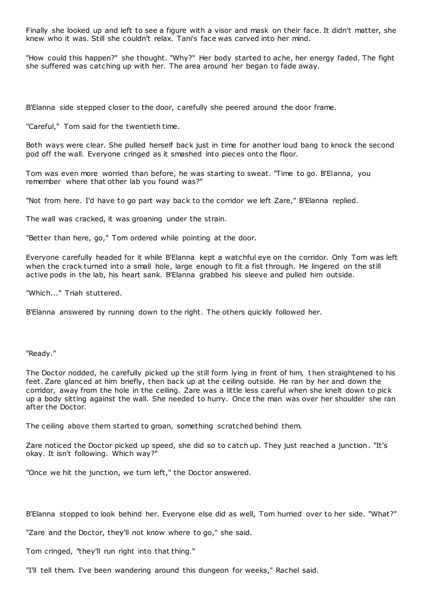Finally she looked up and left to see a figure with a visor and mask on their face. It didn't matter, she knew who it was. Still she couldn't relax. Tani's face was carved into her mind.

"How could this happen?" she thought. "Why?" Her body started to ache, her energy faded. The fight she suffered was catching up with her. The area around her began to fade away.

B'Elanna side stepped closer to the door, carefully she peered around the door frame.

"Careful," Tom said for the twentieth time.

Both ways were clear. She pulled herself back just in time for another loud bang to knock the second pod off the wall. Everyone cringed as it smashed into pieces onto the floor.

Tom was even more worried than before, he was starting to sweat. "Time to go. B'Elanna, you remember where that other lab you found was?"

"Not from here. I'd have to go part way back to the corridor we left Zare," B'Elanna replied.

The wall was cracked, it was groaning under the strain.

"Better than here, go," Tom ordered while pointing at the door.

Everyone carefully headed for it while B'Elanna kept a watchful eye on the corridor. Only Tom was left when the crack turned into a small hole, large enough to fit a fist through. He lingered on the still active pods in the lab, his heart sank. B'Elanna grabbed his sleeve and pulled him outside.

"Which..." Triah stuttered.

B'Elanna answered by running down to the right. The others quickly followed her.

"Ready."

The Doctor nodded, he carefully picked up the still form lying in front of him, t hen straightened to his feet. Zare glanced at him briefly, then back up at the ceiling outside. He ran by her and down the corridor, away from the hole in the ceiling. Zare was a little less careful when she knelt down to pick up a body sitting against the wall. She needed to hurry. Once the man was over her shoulder she ran after the Doctor.

The ceiling above them started to groan, something scratched behind them.

Zare noticed the Doctor picked up speed, she did so to catch up. They just reached a junction. "It's okay. It isn't following. Which way?"

"Once we hit the junction, we turn left," the Doctor answered.

B'Elanna stopped to look behind her. Everyone else did as well, Tom hurried over to her side. "What?"

"Zare and the Doctor, they'll not know where to go," she said.

Tom cringed, "they'll run right into that thing."

"I'll tell them. I've been wandering around this dungeon for weeks," Rachel said.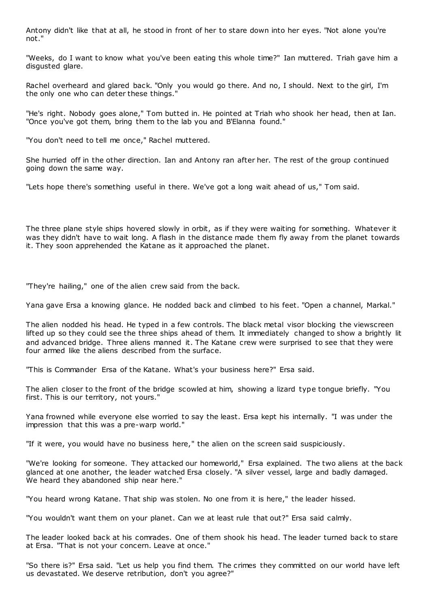Antony didn't like that at all, he stood in front of her to stare down into her eyes. "Not alone you're not."

"Weeks, do I want to know what you've been eating this whole time?" Ian muttered. Triah gave him a disgusted glare.

Rachel overheard and glared back. "Only you would go there. And no, I should. Next to the girl, I'm the only one who can deter these things."

"He's right. Nobody goes alone," Tom butted in. He pointed at Triah who shook her head, then at Ian. "Once you've got them, bring them to the lab you and B'Elanna found."

"You don't need to tell me once," Rachel muttered.

She hurried off in the other direction. Ian and Antony ran after her. The rest of the group continued going down the same way.

"Lets hope there's something useful in there. We've got a long wait ahead of us," Tom said.

The three plane style ships hovered slowly in orbit, as if they were waiting for something. Whatever it was they didn't have to wait long. A flash in the distance made them fly away from the planet towards it. They soon apprehended the Katane as it approached the planet.

"They're hailing," one of the alien crew said from the back.

Yana gave Ersa a knowing glance. He nodded back and climbed to his feet. "Open a channel, Markal."

The alien nodded his head. He typed in a few controls. The black metal visor blocking the viewscreen lifted up so they could see the three ships ahead of them. It immediately changed to show a brightly lit and advanced bridge. Three aliens manned it. The Katane crew were surprised to see that they were four armed like the aliens described from the surface.

"This is Commander Ersa of the Katane. What's your business here?" Ersa said.

The alien closer to the front of the bridge scowled at him, showing a lizard type tongue briefly. "You first. This is our territory, not yours."

Yana frowned while everyone else worried to say the least. Ersa kept his internally. "I was under the impression that this was a pre-warp world."

"If it were, you would have no business here," the alien on the screen said suspiciously.

"We're looking for someone. They attacked our homeworld," Ersa explained. The two aliens at the back glanced at one another, the leader watched Ersa closely. "A silver vessel, large and badly damaged. We heard they abandoned ship near here."

"You heard wrong Katane. That ship was stolen. No one from it is here," the leader hissed.

"You wouldn't want them on your planet. Can we at least rule that out?" Ersa said calmly.

The leader looked back at his comrades. One of them shook his head. The leader turned back to stare at Ersa. "That is not your concern. Leave at once."

"So there is?" Ersa said. "Let us help you find them. The crimes they committed on our world have left us devastated. We deserve retribution, don't you agree?"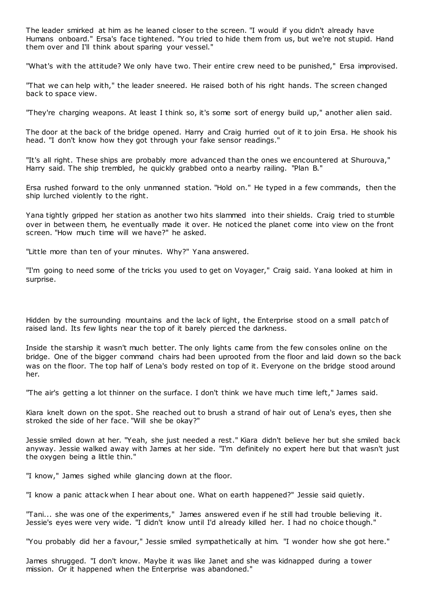The leader smirked at him as he leaned closer to the screen. "I would if you didn't already have Humans onboard." Ersa's face tightened. "You tried to hide them from us, but we're not stupid. Hand them over and I'll think about sparing your vessel."

"What's with the attitude? We only have two. Their entire crew need to be punished," Ersa improvised.

"That we can help with," the leader sneered. He raised both of his right hands. The screen changed back to space view.

"They're charging weapons. At least I think so, it's some sort of energy build up," another alien said.

The door at the back of the bridge opened. Harry and Craig hurried out of it to join Ersa. He shook his head. "I don't know how they got through your fake sensor readings."

"It's all right. These ships are probably more advanced than the ones we encountered at Shurouva," Harry said. The ship trembled, he quickly grabbed onto a nearby railing. "Plan B."

Ersa rushed forward to the only unmanned station. "Hold on." He typed in a few commands, then the ship lurched violently to the right.

Yana tightly gripped her station as another two hits slammed into their shields. Craig tried to stumble over in between them, he eventually made it over. He noticed the planet come into view on the front screen. "How much time will we have?" he asked.

"Little more than ten of your minutes. Why?" Yana answered.

"I'm going to need some of the tricks you used to get on Voyager," Craig said. Yana looked at him in surprise.

Hidden by the surrounding mountains and the lack of light, the Enterprise stood on a small patch of raised land. Its few lights near the top of it barely pierced the darkness.

Inside the starship it wasn't much better. The only lights came from the few consoles online on the bridge. One of the bigger command chairs had been uprooted from the floor and laid down so the back was on the floor. The top half of Lena's body rested on top of it. Everyone on the bridge stood around her.

"The air's getting a lot thinner on the surface. I don't think we have much time left," James said.

Kiara knelt down on the spot. She reached out to brush a strand of hair out of Lena's eyes, then she stroked the side of her face. "Will she be okay?"

Jessie smiled down at her. "Yeah, she just needed a rest." Kiara didn't believe her but she smiled back anyway. Jessie walked away with James at her side. "I'm definitely no expert here but that wasn't just the oxygen being a little thin."

"I know," James sighed while glancing down at the floor.

"I know a panic attack when I hear about one. What on earth happened?" Jessie said quietly.

"Tani... she was one of the experiments," James answered even if he still had trouble believing it. Jessie's eyes were very wide. "I didn't know until I'd already killed her. I had no choice though."

"You probably did her a favour," Jessie smiled sympathetically at him. "I wonder how she got here."

James shrugged. "I don't know. Maybe it was like Janet and she was kidnapped during a tower mission. Or it happened when the Enterprise was abandoned."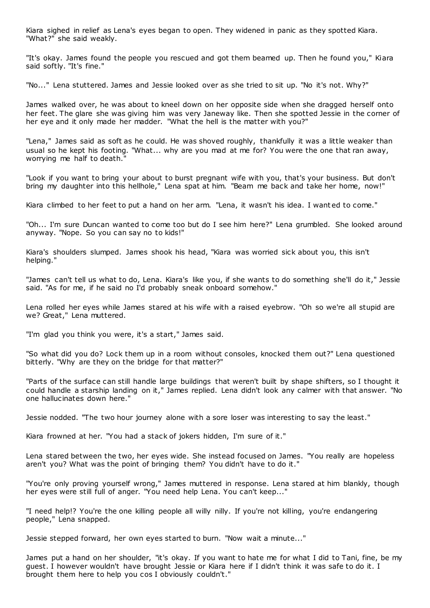Kiara sighed in relief as Lena's eyes began to open. They widened in panic as they spotted Kiara. "What?" she said weakly.

"It's okay. James found the people you rescued and got them beamed up. Then he found you," Kiara said softly. "It's fine."

"No..." Lena stuttered. James and Jessie looked over as she tried to sit up. "No it's not. Why?"

James walked over, he was about to kneel down on her opposite side when she dragged herself onto her feet. The glare she was giving him was very Janeway like. Then she spotted Jessie in the corner of her eye and it only made her madder. "What the hell is the matter with you?"

"Lena," James said as soft as he could. He was shoved roughly, thankfully it was a little weaker than usual so he kept his footing. "What... why are you mad at me for? You were the one that ran away, worrying me half to death."

"Look if you want to bring your about to burst pregnant wife with you, that's your business. But don't bring my daughter into this hellhole," Lena spat at him. "Beam me back and take her home, now!"

Kiara climbed to her feet to put a hand on her arm. "Lena, it wasn't his idea. I want ed to come."

"Oh... I'm sure Duncan wanted to come too but do I see him here?" Lena grumbled. She looked around anyway. "Nope. So you can say no to kids!"

Kiara's shoulders slumped. James shook his head, "Kiara was worried sick about you, this isn't helping."

"James can't tell us what to do, Lena. Kiara's like you, if she wants to do something she'll do it," Jessie said. "As for me, if he said no I'd probably sneak onboard somehow."

Lena rolled her eyes while James stared at his wife with a raised eyebrow. "Oh so we're all stupid are we? Great," Lena muttered.

"I'm glad you think you were, it's a start," James said.

"So what did you do? Lock them up in a room without consoles, knocked them out?" Lena questioned bitterly. "Why are they on the bridge for that matter?"

"Parts of the surface can still handle large buildings that weren't built by shape shifters, so I thought it could handle a starship landing on it," James replied. Lena didn't look any calmer with that answer. "No one hallucinates down here."

Jessie nodded. "The two hour journey alone with a sore loser was interesting to say the least."

Kiara frowned at her. "You had a stack of jokers hidden, I'm sure of it."

Lena stared between the two, her eyes wide. She instead focused on James. "You really are hopeless aren't you? What was the point of bringing them? You didn't have to do it."

"You're only proving yourself wrong," James muttered in response. Lena stared at him blankly, though her eyes were still full of anger. "You need help Lena. You can't keep..."

"I need help!? You're the one killing people all willy nilly. If you're not killing, you're endangering people," Lena snapped.

Jessie stepped forward, her own eyes started to burn. "Now wait a minute..."

James put a hand on her shoulder, "it's okay. If you want to hate me for what I did to Tani, fine, be my guest. I however wouldn't have brought Jessie or Kiara here if I didn't think it was safe to do it. I brought them here to help you cos I obviously couldn't."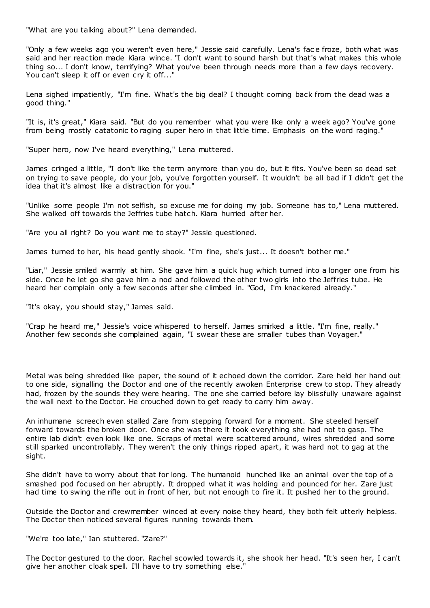"What are you talking about?" Lena demanded.

"Only a few weeks ago you weren't even here," Jessie said carefully. Lena's fac e froze, both what was said and her reaction made Kiara wince. "I don't want to sound harsh but that's what makes this whole thing so... I don't know, terrifying? What you've been through needs more than a few days recovery. You can't sleep it off or even cry it off..."

Lena sighed impatiently, "I'm fine. What's the big deal? I thought coming back from the dead was a good thing."

"It is, it's great," Kiara said. "But do you remember what you were like only a week ago? You've gone from being mostly catatonic to raging super hero in that little time. Emphasis on the word raging."

"Super hero, now I've heard everything," Lena muttered.

James cringed a little, "I don't like the term anymore than you do, but it fits. You've been so dead set on trying to save people, do your job, you've forgotten yourself. It wouldn't be all bad if I didn't get the idea that it's almost like a distraction for you."

"Unlike some people I'm not selfish, so excuse me for doing my job. Someone has to," Lena muttered. She walked off towards the Jeffries tube hatch. Kiara hurried after her.

"Are you all right? Do you want me to stay?" Jessie questioned.

James turned to her, his head gently shook. "I'm fine, she's just... It doesn't bother me."

"Liar," Jessie smiled warmly at him. She gave him a quick hug which turned into a longer one from his side. Once he let go she gave him a nod and followed the other two girls into the Jeffries tube. He heard her complain only a few seconds after she climbed in. "God, I'm knackered already."

"It's okay, you should stay," James said.

"Crap he heard me," Jessie's voice whispered to herself. James smirked a little. "I'm fine, really." Another few seconds she complained again, "I swear these are smaller tubes than Voyager."

Metal was being shredded like paper, the sound of it echoed down the corridor. Zare held her hand out to one side, signalling the Doctor and one of the recently awoken Enterprise crew to stop. They already had, frozen by the sounds they were hearing. The one she carried before lay blissfully unaware against the wall next to the Doctor. He crouched down to get ready to carry him away.

An inhumane screech even stalled Zare from stepping forward for a moment. She steeled herself forward towards the broken door. Once she was there it took everything she had not to gasp. The entire lab didn't even look like one. Scraps of metal were scattered around, wires shredded and some still sparked uncontrollably. They weren't the only things ripped apart, it was hard not to gag at the sight.

She didn't have to worry about that for long. The humanoid hunched like an animal over the top of a smashed pod focused on her abruptly. It dropped what it was holding and pounced for her. Zare just had time to swing the rifle out in front of her, but not enough to fire it. It pushed her to the ground.

Outside the Doctor and crewmember winced at every noise they heard, they both felt utterly helpless. The Doctor then noticed several figures running towards them.

## "We're too late," Ian stuttered. "Zare?"

The Doctor gestured to the door. Rachel scowled towards it, she shook her head. "It's seen her, I can't give her another cloak spell. I'll have to try something else.'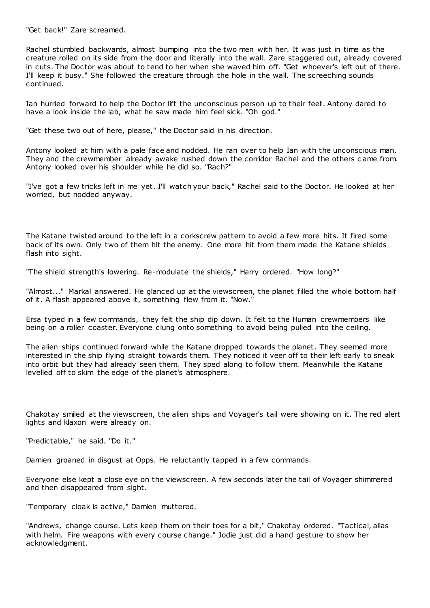"Get back!" Zare screamed.

Rachel stumbled backwards, almost bumping into the two men with her. It was just in time as the creature rolled on its side from the door and literally into the wall. Zare staggered out, already covered in cuts. The Doctor was about to tend to her when she waved him off. "Get whoever's left out of there. I'll keep it busy." She followed the creature through the hole in the wall. The screeching sounds continued.

Ian hurried forward to help the Doctor lift the unconscious person up to their feet. Antony dared to have a look inside the lab, what he saw made him feel sick. "Oh god."

"Get these two out of here, please," the Doctor said in his direction.

Antony looked at him with a pale face and nodded. He ran over to help Ian with the unconscious man. They and the crewmember already awake rushed down the corridor Rachel and the others c ame from. Antony looked over his shoulder while he did so. "Rach?"

"I've got a few tricks left in me yet. I'll watch your back," Rachel said to the Doctor. He looked at her worried, but nodded anyway.

The Katane twisted around to the left in a corkscrew pattern to avoid a few more hits. It fired some back of its own. Only two of them hit the enemy. One more hit from them made the Katane shields flash into sight.

"The shield strength's lowering. Re-modulate the shields," Harry ordered. "How long?"

"Almost..." Markal answered. He glanced up at the viewscreen, the planet filled the whole bottom half of it. A flash appeared above it, something flew from it. "Now."

Ersa typed in a few commands, they felt the ship dip down. It felt to the Human crewmembers like being on a roller coaster. Everyone clung onto something to avoid being pulled into the ceiling.

The alien ships continued forward while the Katane dropped towards the planet. They seemed more interested in the ship flying straight towards them. They noticed it veer off to their left early to sneak into orbit but they had already seen them. They sped along to follow them. Meanwhile the Katane levelled off to skim the edge of the planet's atmosphere.

Chakotay smiled at the viewscreen, the alien ships and Voyager's tail were showing on it. The red alert lights and klaxon were already on.

"Predictable," he said. "Do it."

Damien groaned in disgust at Opps. He reluctantly tapped in a few commands.

Everyone else kept a close eye on the viewscreen. A few seconds later the tail of Voyager shimmered and then disappeared from sight.

"Temporary cloak is active," Damien muttered.

"Andrews, change course. Lets keep them on their toes for a bit," Chakotay ordered. "Tactical, alias with helm. Fire weapons with every course change." Jodie just did a hand gesture to show her acknowledgment.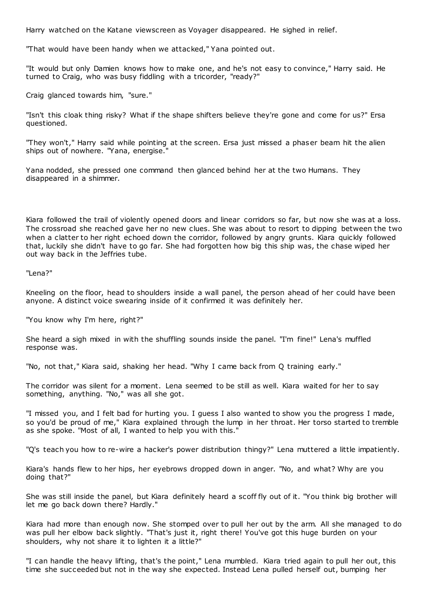Harry watched on the Katane viewscreen as Voyager disappeared. He sighed in relief.

"That would have been handy when we attacked," Yana pointed out.

"It would but only Damien knows how to make one, and he's not easy to convince," Harry said. He turned to Craig, who was busy fiddling with a tricorder, "ready?"

Craig glanced towards him, "sure."

"Isn't this cloak thing risky? What if the shape shifters believe they're gone and come for us?" Ersa questioned.

"They won't," Harry said while pointing at the screen. Ersa just missed a phaser beam hit the alien ships out of nowhere. "Yana, energise."

Yana nodded, she pressed one command then glanced behind her at the two Humans. They disappeared in a shimmer.

Kiara followed the trail of violently opened doors and linear corridors so far, but now she was at a loss. The crossroad she reached gave her no new clues. She was about to resort to dipping between the two when a clatter to her right echoed down the corridor, followed by angry grunts. Kiara quickly followed that, luckily she didn't have to go far. She had forgotten how big this ship was, the chase wiped her out way back in the Jeffries tube.

"Lena?"

Kneeling on the floor, head to shoulders inside a wall panel, the person ahead of her could have been anyone. A distinct voice swearing inside of it confirmed it was definitely her.

"You know why I'm here, right?"

She heard a sigh mixed in with the shuffling sounds inside the panel. "I'm fine!" Lena's muffled response was.

"No, not that," Kiara said, shaking her head. "Why I came back from Q training early."

The corridor was silent for a moment. Lena seemed to be still as well. Kiara waited for her to say something, anything. "No," was all she got.

"I missed you, and I felt bad for hurting you. I guess I also wanted to show you the progress I made, so you'd be proud of me," Kiara explained through the lump in her throat. Her torso started to tremble as she spoke. "Most of all, I wanted to help you with this."

"Q's teach you how to re-wire a hacker's power distribution thingy?" Lena muttered a little impatiently.

Kiara's hands flew to her hips, her eyebrows dropped down in anger. "No, and what? Why are you doing that?"

She was still inside the panel, but Kiara definitely heard a scoff fly out of it. "You think big brother will let me go back down there? Hardly."

Kiara had more than enough now. She stomped over to pull her out by the arm. All she managed to do was pull her elbow back slightly. "That's just it, right there! You've got this huge burden on your shoulders, why not share it to lighten it a little?"

"I can handle the heavy lifting, that's the point," Lena mumbled. Kiara tried again to pull her out, this time she succeeded but not in the way she expected. Instead Lena pulled herself out, bumping her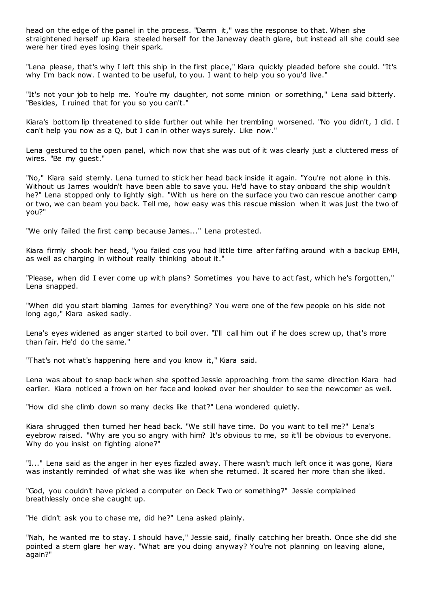head on the edge of the panel in the process. "Damn it," was the response to that. When she straightened herself up Kiara steeled herself for the Janeway death glare, but instead all she could see were her tired eyes losing their spark.

"Lena please, that's why I left this ship in the first place," Kiara quickly pleaded before she could. "It's why I'm back now. I wanted to be useful, to you. I want to help you so you'd live."

"It's not your job to help me. You're my daughter, not some minion or something," Lena said bitterly. "Besides, I ruined that for you so you can't."

Kiara's bottom lip threatened to slide further out while her trembling worsened. "No you didn't, I did. I can't help you now as a Q, but I can in other ways surely. Like now."

Lena gestured to the open panel, which now that she was out of it was clearly just a cluttered mess of wires. "Be my guest."

"No," Kiara said sternly. Lena turned to stick her head back inside it again. "You're not alone in this. Without us James wouldn't have been able to save you. He'd have to stay onboard the ship wouldn't he?" Lena stopped only to lightly sigh. "With us here on the surface you two can rescue another camp or two, we can beam you back. Tell me, how easy was this rescue mission when it was just the two of you?"

"We only failed the first camp because James..." Lena protested.

Kiara firmly shook her head, "you failed cos you had little time after faffing around with a backup EMH, as well as charging in without really thinking about it."

"Please, when did I ever come up with plans? Sometimes you have to act fast, which he's forgotten," Lena snapped.

"When did you start blaming James for everything? You were one of the few people on his side not long ago," Kiara asked sadly.

Lena's eyes widened as anger started to boil over. "I'll call him out if he does screw up, that's more than fair. He'd do the same."

"That's not what's happening here and you know it," Kiara said.

Lena was about to snap back when she spotted Jessie approaching from the same direction Kiara had earlier. Kiara noticed a frown on her face and looked over her shoulder to see the newcomer as well.

"How did she climb down so many decks like that?" Lena wondered quietly.

Kiara shrugged then turned her head back. "We still have time. Do you want to tell me?" Lena's eyebrow raised. "Why are you so angry with him? It's obvious to me, so it'll be obvious to everyone. Why do you insist on fighting alone?"

"I..." Lena said as the anger in her eyes fizzled away. There wasn't much left once it was gone, Kiara was instantly reminded of what she was like when she returned. It scared her more than she liked.

"God, you couldn't have picked a computer on Deck Two or something?" Jessie complained breathlessly once she caught up.

"He didn't ask you to chase me, did he?" Lena asked plainly.

"Nah, he wanted me to stay. I should have," Jessie said, finally catching her breath. Once she did she pointed a stern glare her way. "What are you doing anyway? You're not planning on leaving alone, again?"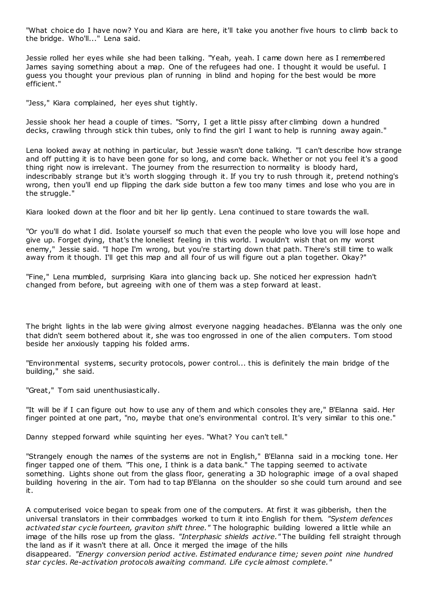"What choice do I have now? You and Kiara are here, it'll take you another five hours to climb back to the bridge. Who'll..." Lena said.

Jessie rolled her eyes while she had been talking. "Yeah, yeah. I came down here as I remembered James saying something about a map. One of the refugees had one. I thought it would be useful. I guess you thought your previous plan of running in blind and hoping for the best would be more efficient."

"Jess," Kiara complained, her eyes shut tightly.

Jessie shook her head a couple of times. "Sorry, I get a little pissy after climbing down a hundred decks, crawling through stick thin tubes, only to find the girl I want to help is running away again."

Lena looked away at nothing in particular, but Jessie wasn't done talking. "I can't describe how strange and off putting it is to have been gone for so long, and come back. Whether or not you feel it's a good thing right now is irrelevant. The journey from the resurrection to normality is bloody hard, indescribably strange but it's worth slogging through it. If you try to rush through it, pretend nothing's wrong, then you'll end up flipping the dark side button a few too many times and lose who you are in the struggle."

Kiara looked down at the floor and bit her lip gently. Lena continued to stare towards the wall.

"Or you'll do what I did. Isolate yourself so much that even the people who love you will lose hope and give up. Forget dying, that's the loneliest feeling in this world. I wouldn't wish that on my worst enemy," Jessie said. "I hope I'm wrong, but you're starting down that path. There's still time to walk away from it though. I'll get this map and all four of us will figure out a plan together. Okay?"

"Fine," Lena mumbled, surprising Kiara into glancing back up. She noticed her expression hadn't changed from before, but agreeing with one of them was a step forward at least.

The bright lights in the lab were giving almost everyone nagging headaches. B'Elanna was the only one that didn't seem bothered about it, she was too engrossed in one of the alien computers. Tom stood beside her anxiously tapping his folded arms.

"Environmental systems, security protocols, power control... this is definitely the main bridge of the building," she said.

"Great," Tom said unenthusiastically.

"It will be if I can figure out how to use any of them and which consoles they are," B'Elanna said. Her finger pointed at one part, "no, maybe that one's environmental control. It's very similar to this one."

Danny stepped forward while squinting her eyes. "What? You can't tell."

"Strangely enough the names of the systems are not in English," B'Elanna said in a mocking tone. Her finger tapped one of them. "This one, I think is a data bank." The tapping seemed to activate something. Lights shone out from the glass floor, generating a 3D holographic image of a oval shaped building hovering in the air. Tom had to tap B'Elanna on the shoulder so she could turn around and see it.

A computerised voice began to speak from one of the computers. At first it was gibberish, then the universal translators in their commbadges worked to turn it into English for them. *"System defences activated star cycle fourteen, graviton shift three."* The holographic building lowered a little while an image of the hills rose up from the glass. *"Interphasic shields active."* The building fell straight through the land as if it wasn't there at all. Once it merged the image of the hills

disappeared. *"Energy conversion period active. Estimated endurance time; seven point nine hundred star cycles. Re-activation protocols awaiting command. Life cycle almost complete."*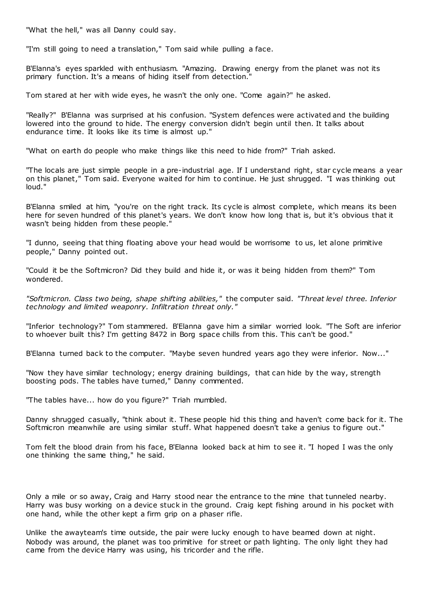"What the hell," was all Danny could say.

"I'm still going to need a translation," Tom said while pulling a face.

B'Elanna's eyes sparkled with enthusiasm. "Amazing. Drawing energy from the planet was not its primary function. It's a means of hiding itself from detection."

Tom stared at her with wide eyes, he wasn't the only one. "Come again?" he asked.

"Really?" B'Elanna was surprised at his confusion. "System defences were activated and the building lowered into the ground to hide. The energy conversion didn't begin until then. It talks about endurance time. It looks like its time is almost up."

"What on earth do people who make things like this need to hide from?" Triah asked.

"The locals are just simple people in a pre-industrial age. If I understand right, star cycle means a year on this planet," Tom said. Everyone waited for him to continue. He just shrugged. "I was thinking out loud."

B'Elanna smiled at him, "you're on the right track. Its cycle is almost complete, which means its been here for seven hundred of this planet's years. We don't know how long that is, but it's obvious that it wasn't being hidden from these people."

"I dunno, seeing that thing floating above your head would be worrisome to us, let alone primitive people," Danny pointed out.

"Could it be the Softmicron? Did they build and hide it, or was it being hidden from them?" Tom wondered.

*"Softmicron. Class two being, shape shifting abilities,"* the computer said. *"Threat level three. Inferior technology and limited weaponry. Infiltration threat only."*

"Inferior technology?" Tom stammered. B'Elanna gave him a similar worried look. "The Soft are inferior to whoever built this? I'm getting 8472 in Borg space chills from this. This can't be good."

B'Elanna turned back to the computer. "Maybe seven hundred years ago they were inferior. Now..."

"Now they have similar technology; energy draining buildings, that can hide by the way, strength boosting pods. The tables have turned," Danny commented.

"The tables have... how do you figure?" Triah mumbled.

Danny shrugged casually, "think about it. These people hid this thing and haven't come back for it. The Softmicron meanwhile are using similar stuff. What happened doesn't take a genius to figure out."

Tom felt the blood drain from his face, B'Elanna looked back at him to see it. "I hoped I was the only one thinking the same thing," he said.

Only a mile or so away, Craig and Harry stood near the entrance to the mine that tunneled nearby. Harry was busy working on a device stuck in the ground. Craig kept fishing around in his pocket with one hand, while the other kept a firm grip on a phaser rifle.

Unlike the awayteam's time outside, the pair were lucky enough to have beamed down at night. Nobody was around, the planet was too primitive for street or path lighting. The only light they had came from the device Harry was using, his tricorder and the rifle.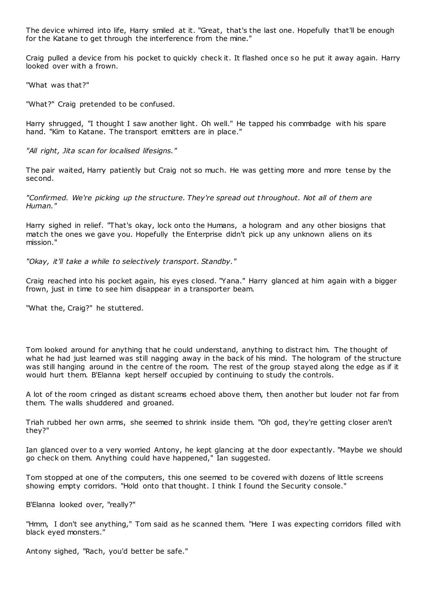The device whirred into life, Harry smiled at it. "Great, that's the last one. Hopefully that'll be enough for the Katane to get through the interference from the mine."

Craig pulled a device from his pocket to quickly check it. It flashed once so he put it away again. Harry looked over with a frown.

"What was that?"

"What?" Craig pretended to be confused.

Harry shrugged, "I thought I saw another light. Oh well." He tapped his commbadge with his spare hand. "Kim to Katane. The transport emitters are in place."

*"All right, Jita scan for localised lifesigns."*

The pair waited, Harry patiently but Craig not so much. He was getting more and more tense by the second.

*"Confirmed. We're picking up the structure. They're spread out throughout. Not all of them are Human."*

Harry sighed in relief. "That's okay, lock onto the Humans, a hologram and any other biosigns that match the ones we gave you. Hopefully the Enterprise didn't pick up any unknown aliens on its mission."

*"Okay, it'll take a while to selectively transport. Standby."*

Craig reached into his pocket again, his eyes closed. "Yana." Harry glanced at him again with a bigger frown, just in time to see him disappear in a transporter beam.

"What the, Craig?" he stuttered.

Tom looked around for anything that he could understand, anything to distract him. The thought of what he had just learned was still nagging away in the back of his mind. The hologram of the structure was still hanging around in the centre of the room. The rest of the group stayed along the edge as if it would hurt them. B'Elanna kept herself occupied by continuing to study the controls.

A lot of the room cringed as distant screams echoed above them, then another but louder not far from them. The walls shuddered and groaned.

Triah rubbed her own arms, she seemed to shrink inside them. "Oh god, they're getting closer aren't they?"

Ian glanced over to a very worried Antony, he kept glancing at the door expectantly. "Maybe we should go check on them. Anything could have happened," Ian suggested.

Tom stopped at one of the computers, this one seemed to be covered with dozens of little screens showing empty corridors. "Hold onto that thought. I think I found the Security console."

B'Elanna looked over, "really?"

"Hmm, I don't see anything," Tom said as he scanned them. "Here I was expecting corridors filled with black eyed monsters."

Antony sighed, "Rach, you'd better be safe."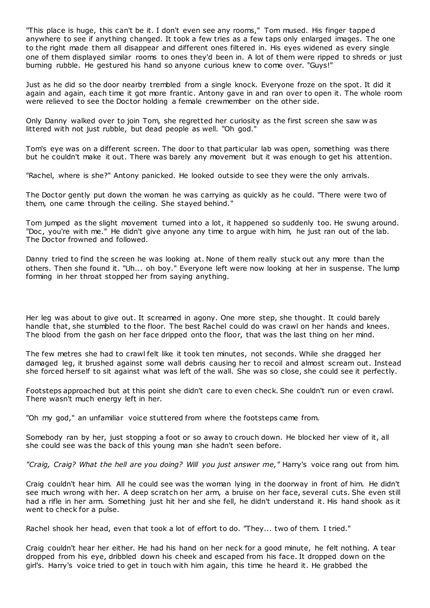"This place is huge, this can't be it. I don't even see any rooms," Tom mused. His finger tapped anywhere to see if anything changed. It took a few tries as a few taps only enlarged images. The one to the right made them all disappear and different ones filtered in. His eyes widened as every single one of them displayed similar rooms to ones they'd been in. A lot of them were ripped to shreds or just burning rubble. He gestured his hand so anyone curious knew to come over. "Guys!"

Just as he did so the door nearby trembled from a single knock. Everyone froze on the spot. It did it again and again, each time it got more frantic . Antony gave in and ran over to open it. The whole room were relieved to see the Doctor holding a female crewmember on the other side.

Only Danny walked over to join Tom, she regretted her curiosity as the first screen she saw w as littered with not just rubble, but dead people as well. "Oh god."

Tom's eye was on a different screen. The door to that particular lab was open, something was there but he couldn't make it out. There was barely any movement but it was enough to get his attention.

"Rachel, where is she?" Antony panicked. He looked outside to see they were the only arrivals.

The Doctor gently put down the woman he was carrying as quickly as he could. "There were two of them, one came through the ceiling. She stayed behind."

Tom jumped as the slight movement turned into a lot, it happened so suddenly too. He swung around. "Doc, you're with me." He didn't give anyone any time to argue with him, he just ran out of the lab. The Doctor frowned and followed.

Danny tried to find the screen he was looking at. None of them really stuck out any more than the others. Then she found it. "Uh... oh boy." Everyone left were now looking at her in suspense. The lump forming in her throat stopped her from saying anything.

Her leg was about to give out. It screamed in agony. One more step, she thought. It could barely handle that, she stumbled to the floor. The best Rachel could do was crawl on her hands and knees. The blood from the gash on her face dripped onto the floor, that was the last thing on her mind.

The few metres she had to crawl felt like it took ten minutes, not seconds. While she dragged her damaged leg, it brushed against some wall debris causing her to recoil and almost scream out. Instead she forced herself to sit against what was left of the wall. She was so close, she could see it perfectly.

Footsteps approached but at this point she didn't care to even check. She couldn't run or even crawl. There wasn't much energy left in her.

"Oh my god," an unfamiliar voice stuttered from where the footsteps came from.

Somebody ran by her, just stopping a foot or so away to crouch down. He blocked her view of it, all she could see was the back of this young man she hadn't seen before.

*"Craig, Craig? What the hell are you doing? Will you just answer me,"* Harry's voice rang out from him.

Craig couldn't hear him. All he could see was the woman lying in the doorway in front of him. He didn't see much wrong with her. A deep scratch on her arm, a bruise on her face, several cuts. She even still had a rifle in her arm. Something just hit her and she fell, he didn't understand it. His hand shook as it went to check for a pulse.

Rachel shook her head, even that took a lot of effort to do. "They... two of them. I tried."

Craig couldn't hear her either. He had his hand on her neck for a good minute, he felt nothing. A tear dropped from his eye, dribbled down his cheek and escaped from his face. It dropped down on the girl's. Harry's voice tried to get in touch with him again, this time he heard it. He grabbed the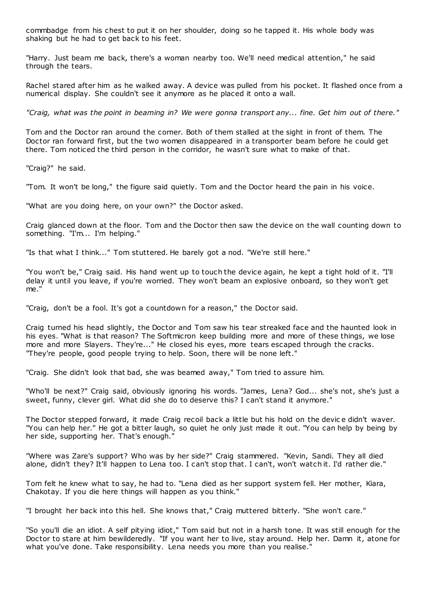commbadge from his chest to put it on her shoulder, doing so he tapped it. His whole body was shaking but he had to get back to his feet.

"Harry. Just beam me back, there's a woman nearby too. We'll need medical attention," he said through the tears.

Rachel stared after him as he walked away. A device was pulled from his pocket. It flashed once from a numerical display. She couldn't see it anymore as he placed it onto a wall.

*"Craig, what was the point in beaming in? We were gonna transport any... fine. Get him out of there."*

Tom and the Doctor ran around the corner. Both of them stalled at the sight in front of them. The Doctor ran forward first, but the two women disappeared in a transporter beam before he could get there. Tom noticed the third person in the corridor, he wasn't sure what to make of that.

"Craig?" he said.

"Tom. It won't be long," the figure said quietly. Tom and the Doctor heard the pain in his voice.

"What are you doing here, on your own?" the Doctor asked.

Craig glanced down at the floor. Tom and the Doctor then saw the device on the wall counting down to something. "I'm... I'm helping."

"Is that what I think..." Tom stuttered. He barely got a nod. "We're still here."

"You won't be," Craig said. His hand went up to touch the device again, he kept a tight hold of it. "I'll delay it until you leave, if you're worried. They won't beam an explosive onboard, so they won't get me."

"Craig, don't be a fool. It's got a countdown for a reason," the Doctor said.

Craig turned his head slightly, the Doctor and Tom saw his tear streaked face and the haunted look in his eyes. "What is that reason? The Softmicron keep building more and more of these things, we lose more and more Slayers. They're..." He closed his eyes, more tears escaped through the cracks. "They're people, good people trying to help. Soon, there will be none left."

"Craig. She didn't look that bad, she was beamed away," Tom tried to assure him.

"Who'll be next?" Craig said, obviously ignoring his words. "James, Lena? God... she's not, she's just a sweet, funny, clever girl. What did she do to deserve this? I can't stand it anymore."

The Doctor stepped forward, it made Craig recoil back a little but his hold on the devic e didn't waver. "You can help her." He got a bitter laugh, so quiet he only just made it out. "You can help by being by her side, supporting her. That's enough."

"Where was Zare's support? Who was by her side?" Craig stammered. "Kevin, Sandi. They all died alone, didn't they? It'll happen to Lena too. I can't stop that. I can't, won't watch it. I'd rather die."

Tom felt he knew what to say, he had to. "Lena died as her support system fell. Her mother, Kiara, Chakotay. If you die here things will happen as you think."

"I brought her back into this hell. She knows that," Craig muttered bitterly. "She won't care."

"So you'll die an idiot. A self pitying idiot," Tom said but not in a harsh tone. It was still enough for the Doctor to stare at him bewilderedly. "If you want her to live, stay around. Help her. Damn it, atone for what you've done. Take responsibility. Lena needs you more than you realise."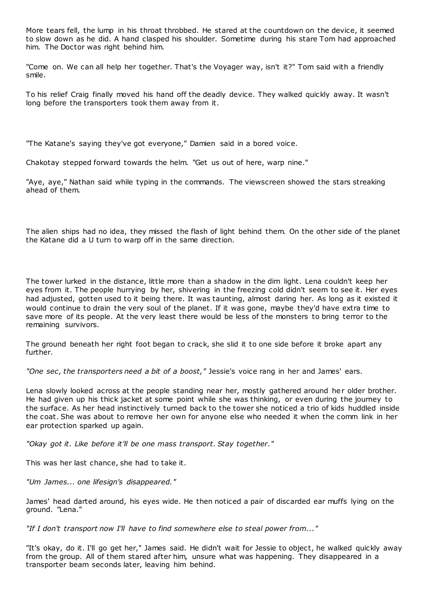More tears fell, the lump in his throat throbbed. He stared at the countdown on the device, it seemed to slow down as he did. A hand clasped his shoulder. Sometime during his stare Tom had approached him. The Doctor was right behind him.

"Come on. We can all help her together. That's the Voyager way, isn't it?" Tom said with a friendly smile.

To his relief Craig finally moved his hand off the deadly device. They walked quickly away. It wasn't long before the transporters took them away from it.

"The Katane's saying they've got everyone," Damien said in a bored voice.

Chakotay stepped forward towards the helm. "Get us out of here, warp nine."

"Aye, aye," Nathan said while typing in the commands. The viewscreen showed the stars streaking ahead of them.

The alien ships had no idea, they missed the flash of light behind them. On the other side of the planet the Katane did a U turn to warp off in the same direction.

The tower lurked in the distance, little more than a shadow in the dim light. Lena couldn't keep her eyes from it. The people hurrying by her, shivering in the freezing cold didn't seem to see it. Her eyes had adjusted, gotten used to it being there. It was taunting, almost daring her. As long as it existed it would continue to drain the very soul of the planet. If it was gone, maybe they'd have extra time to save more of its people. At the very least there would be less of the monsters to bring terror to the remaining survivors.

The ground beneath her right foot began to crack, she slid it to one side before it broke apart any further.

"One sec, the transporters need a bit of a boost," Jessie's voice rang in her and James' ears.

Lena slowly looked across at the people standing near her, mostly gathered around her older brother. He had given up his thick jacket at some point while she was thinking, or even during the journey to the surface. As her head instinctively turned back to the tower she noticed a trio of kids huddled inside the coat. She was about to remove her own for anyone else who needed it when the comm link in her ear protection sparked up again.

*"Okay got it. Like before it'll be one mass transport. Stay together."*

This was her last chance, she had to take it.

*"Um James... one lifesign's disappeared."*

James' head darted around, his eyes wide. He then noticed a pair of discarded ear muffs lying on the ground. "Lena."

*"If I don't transport now I'll have to find somewhere else to steal power from..."*

"It's okay, do it. I'll go get her," James said. He didn't wait for Jessie to object, he walked quickly away from the group. All of them stared after him, unsure what was happening. They disappeared in a transporter beam seconds later, leaving him behind.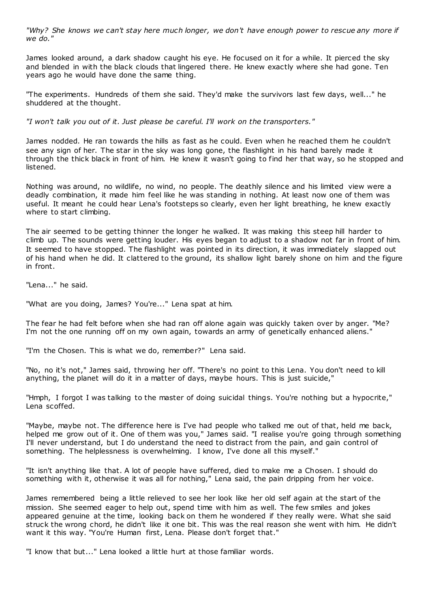*"Why? She knows we can't stay here much longer, we don't have enough power to rescue any more if we do."*

James looked around, a dark shadow caught his eye. He focused on it for a while. It pierced the sky and blended in with the black clouds that lingered there. He knew exactly where she had gone. Ten years ago he would have done the same thing.

"The experiments. Hundreds of them she said. They'd make the survivors last few days, well..." he shuddered at the thought.

*"I won't talk you out of it. Just please be careful. I'll work on the transporters."*

James nodded. He ran towards the hills as fast as he could. Even when he reached them he couldn't see any sign of her. The star in the sky was long gone, the flashlight in his hand barely made it through the thick black in front of him. He knew it wasn't going to find her that way, so he stopped and listened.

Nothing was around, no wildlife, no wind, no people. The deathly silence and his limited view were a deadly combination, it made him feel like he was standing in nothing. At least now one of them was useful. It meant he could hear Lena's footsteps so clearly, even her light breathing, he knew exactly where to start climbing.

The air seemed to be getting thinner the longer he walked. It was making this steep hill harder to climb up. The sounds were getting louder. His eyes began to adjust to a shadow not far in front of him. It seemed to have stopped. The flashlight was pointed in its direction, it was immediately slapped out of his hand when he did. It clattered to the ground, its shallow light barely shone on him and the figure in front.

"Lena..." he said.

"What are you doing, James? You're..." Lena spat at him.

The fear he had felt before when she had ran off alone again was quickly taken over by anger. "Me? I'm not the one running off on my own again, towards an army of genetically enhanced aliens."

"I'm the Chosen. This is what we do, remember?" Lena said.

"No, no it's not," James said, throwing her off. "There's no point to this Lena. You don't need to kill anything, the planet will do it in a matter of days, maybe hours. This is just suicide,"

"Hmph, I forgot I was talking to the master of doing suicidal things. You're nothing but a hypocrite," Lena scoffed.

"Maybe, maybe not. The difference here is I've had people who talked me out of that, held me back, helped me grow out of it. One of them was you," James said. "I realise you're going through something I'll never understand, but I do understand the need to distract from the pain, and gain control of something. The helplessness is overwhelming. I know, I've done all this myself."

"It isn't anything like that. A lot of people have suffered, died to make me a Chosen. I should do something with it, otherwise it was all for nothing," Lena said, the pain dripping from her voice.

James remembered being a little relieved to see her look like her old self again at the start of the mission. She seemed eager to help out, spend time with him as well. The few smiles and jokes appeared genuine at the time, looking back on them he wondered if they really were. What she said struck the wrong chord, he didn't like it one bit. This was the real reason she went with him. He didn't want it this way. "You're Human first, Lena. Please don't forget that."

"I know that but..." Lena looked a little hurt at those familiar words.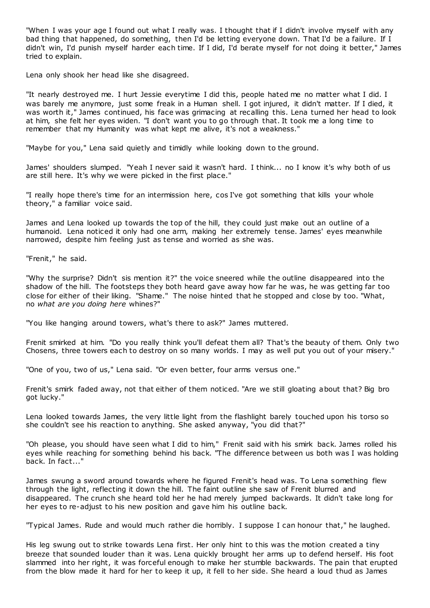"When I was your age I found out what I really was. I thought that if I didn't involve myself with any bad thing that happened, do something, then I'd be letting everyone down. That I'd be a failure. If I didn't win, I'd punish myself harder each time. If I did, I'd berate myself for not doing it better," James tried to explain.

Lena only shook her head like she disagreed.

"It nearly destroyed me. I hurt Jessie everytime I did this, people hated me no matter what I did. I was barely me anymore, just some freak in a Human shell. I got injured, it didn't matter. If I died, it was worth it," James continued, his face was grimacing at recalling this. Lena turned her head to look at him, she felt her eyes widen. "I don't want you to go through that. It took me a long time to remember that my Humanity was what kept me alive, it's not a weakness."

"Maybe for you," Lena said quietly and timidly while looking down to the ground.

James' shoulders slumped. "Yeah I never said it wasn't hard. I think... no I know it's why both of us are still here. It's why we were picked in the first place."

"I really hope there's time for an intermission here, cos I've got something that kills your whole theory," a familiar voice said.

James and Lena looked up towards the top of the hill, they could just make out an outline of a humanoid. Lena noticed it only had one arm, making her extremely tense. James' eyes meanwhile narrowed, despite him feeling just as tense and worried as she was.

"Frenit," he said.

"Why the surprise? Didn't sis mention it?" the voice sneered while the outline disappeared into the shadow of the hill. The footsteps they both heard gave away how far he was, he was getting far too close for either of their liking. "Shame." The noise hinted that he stopped and close by too. "What, no *what are you doing here* whines?"

"You like hanging around towers, what's there to ask?" James muttered.

Frenit smirked at him. "Do you really think you'll defeat them all? That's the beauty of them. Only two Chosens, three towers each to destroy on so many worlds. I may as well put you out of your misery."

"One of you, two of us," Lena said. "Or even better, four arms versus one."

Frenit's smirk faded away, not that either of them noticed. "Are we still gloating about that? Big bro got lucky."

Lena looked towards James, the very little light from the flashlight barely touched upon his torso so she couldn't see his reaction to anything. She asked anyway, "you did that?"

"Oh please, you should have seen what I did to him," Frenit said with his smirk back. James rolled his eyes while reaching for something behind his back. "The difference between us both was I was holding back. In fact..."

James swung a sword around towards where he figured Frenit's head was. To Lena something flew through the light, reflecting it down the hill. The faint outline she saw of Frenit blurred and disappeared. The crunch she heard told her he had merely jumped backwards. It didn't take long for her eyes to re-adjust to his new position and gave him his outline back.

"Typical James. Rude and would much rather die horribly. I suppose I can honour that," he laughed.

His leg swung out to strike towards Lena first. Her only hint to this was the motion created a tiny breeze that sounded louder than it was. Lena quickly brought her arms up to defend herself. His foot slammed into her right, it was forceful enough to make her stumble backwards. The pain that erupted from the blow made it hard for her to keep it up, it fell to her side. She heard a loud thud as James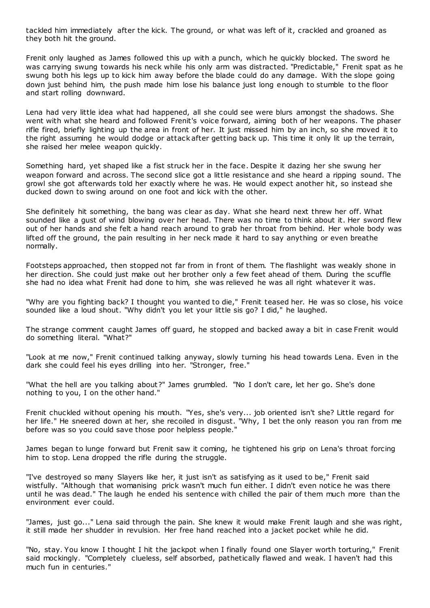tackled him immediately after the kick. The ground, or what was left of it, crackled and groaned as they both hit the ground.

Frenit only laughed as James followed this up with a punch, which he quickly blocked. The sword he was carrying swung towards his neck while his only arm was distracted. "Predictable," Frenit spat as he swung both his legs up to kick him away before the blade could do any damage. With the slope going down just behind him, the push made him lose his balance just long enough to stumble to the floor and start rolling downward.

Lena had very little idea what had happened, all she could see were blurs amongst the shadows. She went with what she heard and followed Frenit's voice forward, aiming both of her weapons. The phaser rifle fired, briefly lighting up the area in front of her. It just missed him by an inch, so she moved it to the right assuming he would dodge or attack after getting back up. This time it only lit up the terrain, she raised her melee weapon quickly.

Something hard, yet shaped like a fist struck her in the face. Despite it dazing her she swung her weapon forward and across. The second slice got a little resistance and she heard a ripping sound. The growl she got afterwards told her exactly where he was. He would expect another hit, so instead she ducked down to swing around on one foot and kick with the other.

She definitely hit something, the bang was clear as day. What she heard next threw her off. What sounded like a gust of wind blowing over her head. There was no time to think about it. Her sword flew out of her hands and she felt a hand reach around to grab her throat from behind. Her whole body was lifted off the ground, the pain resulting in her neck made it hard to say anything or even breathe normally.

Footsteps approached, then stopped not far from in front of them. The flashlight was weakly shone in her direction. She could just make out her brother only a few feet ahead of them. During the scuffle she had no idea what Frenit had done to him, she was relieved he was all right whatever it was.

"Why are you fighting back? I thought you wanted to die," Frenit teased her. He was so close, his voice sounded like a loud shout. "Why didn't you let your little sis go? I did," he laughed.

The strange comment caught James off guard, he stopped and backed away a bit in case Frenit would do something literal. "What?"

"Look at me now," Frenit continued talking anyway, slowly turning his head towards Lena. Even in the dark she could feel his eyes drilling into her. "Stronger, free."

"What the hell are you talking about?" James grumbled. "No I don't care, let her go. She's done nothing to you, I on the other hand."

Frenit chuckled without opening his mouth. "Yes, she's very... job oriented isn't she? Little regard for her life." He sneered down at her, she recoiled in disgust. "Why, I bet the only reason you ran from me before was so you could save those poor helpless people."

James began to lunge forward but Frenit saw it coming, he tightened his grip on Lena's throat forcing him to stop. Lena dropped the rifle during the struggle.

"I've destroyed so many Slayers like her, it just isn't as satisfying as it used to be," Frenit said wistfully. "Although that womanising prick wasn't much fun either. I didn't even notice he was there until he was dead." The laugh he ended his sentence with chilled the pair of them much more than the environment ever could.

"James, just go..." Lena said through the pain. She knew it would make Frenit laugh and she was right, it still made her shudder in revulsion. Her free hand reached into a jacket pocket while he did.

"No, stay. You know I thought I hit the jackpot when I finally found one Slayer worth torturing," Frenit said mockingly. "Completely clueless, self absorbed, pathetically flawed and weak. I haven't had this much fun in centuries."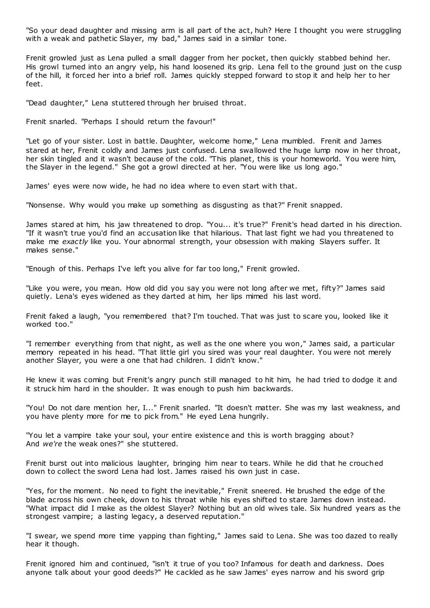"So your dead daughter and missing arm is all part of the act, huh? Here I thought you were struggling with a weak and pathetic Slayer, my bad," James said in a similar tone.

Frenit growled just as Lena pulled a small dagger from her pocket, then quickly stabbed behind her. His growl turned into an angry yelp, his hand loosened its grip. Lena fell to the ground just on the cusp of the hill, it forced her into a brief roll. James quickly stepped forward to stop it and help her to her feet.

"Dead daughter," Lena stuttered through her bruised throat.

Frenit snarled. "Perhaps I should return the favour!"

"Let go of your sister. Lost in battle. Daughter, welcome home," Lena mumbled. Frenit and James stared at her, Frenit coldly and James just confused. Lena swallowed the huge lump now in her throat, her skin tingled and it wasn't because of the cold. "This planet, this is your homeworld. You were him, the Slayer in the legend." She got a growl directed at her. "You were like us long ago."

James' eyes were now wide, he had no idea where to even start with that.

"Nonsense. Why would you make up something as disgusting as that?" Frenit snapped.

James stared at him, his jaw threatened to drop. "You... it's true?" Frenit's head darted in his direction. "If it wasn't true you'd find an accusation like that hilarious. That last fight we had you threatened to make me *exactly* like you. Your abnormal strength, your obsession with making Slayers suffer. It makes sense."

"Enough of this. Perhaps I've left you alive for far too long," Frenit growled.

"Like you were, you mean. How old did you say you were not long after we met, fifty?" James said quietly. Lena's eyes widened as they darted at him, her lips mimed his last word.

Frenit faked a laugh, "you remembered that? I'm touched. That was just to scare you, looked like it worked too."

"I remember everything from that night, as well as the one where you won," James said, a particular memory repeated in his head. "That little girl you sired was your real daughter. You were not merely another Slayer, you were a one that had children. I didn't know."

He knew it was coming but Frenit's angry punch still managed to hit him, he had tried to dodge it and it struck him hard in the shoulder. It was enough to push him backwards.

"You! Do not dare mention her, I..." Frenit snarled. "It doesn't matter. She was my last weakness, and you have plenty more for me to pick from." He eyed Lena hungrily.

"You let a vampire take your soul, your entire existence and this is worth bragging about? And *we're* the weak ones?" she stuttered.

Frenit burst out into malicious laughter, bringing him near to tears. While he did that he crouched down to collect the sword Lena had lost. James raised his own just in case.

"Yes, for the moment. No need to fight the inevitable," Frenit sneered. He brushed the edge of the blade across his own cheek, down to his throat while his eyes shifted to stare James down instead. "What impact did I make as the oldest Slayer? Nothing but an old wives tale. Six hundred years as the strongest vampire; a lasting legacy, a deserved reputation."

"I swear, we spend more time yapping than fighting," James said to Lena. She was too dazed to really hear it though.

Frenit ignored him and continued, "isn't it true of you too? Infamous for death and darkness. Does anyone talk about your good deeds?" He cackled as he saw James' eyes narrow and his sword grip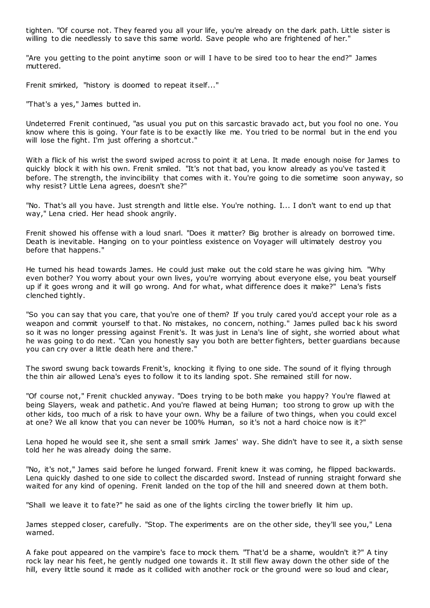tighten. "Of course not. They feared you all your life, you're already on the dark path. Little sister is willing to die needlessly to save this same world. Save people who are frightened of her."

"Are you getting to the point anytime soon or will I have to be sired too to hear the end?" James muttered.

Frenit smirked, "history is doomed to repeat itself..."

"That's a yes," James butted in.

Undeterred Frenit continued, "as usual you put on this sarcastic bravado act, but you fool no one. You know where this is going. Your fate is to be exactly like me. You tried to be normal but in the end you will lose the fight. I'm just offering a shortcut."

With a flick of his wrist the sword swiped across to point it at Lena. It made enough noise for James to quickly block it with his own. Frenit smiled. "It's not that bad, you know already as you've tasted it before. The strength, the invincibility that comes with it. You're going to die sometime soon anyway, so why resist? Little Lena agrees, doesn't she?"

"No. That's all you have. Just strength and little else. You're nothing. I... I don't want to end up that way," Lena cried. Her head shook angrily.

Frenit showed his offense with a loud snarl. "Does it matter? Big brother is already on borrowed time. Death is inevitable. Hanging on to your pointless existence on Voyager will ultimately destroy you before that happens."

He turned his head towards James. He could just make out the cold stare he was giving him. "Why even bother? You worry about your own lives, you're worrying about everyone else, you beat yourself up if it goes wrong and it will go wrong. And for what, what difference does it make?" Lena's fists clenched tightly.

"So you can say that you care, that you're one of them? If you truly cared you'd accept your role as a weapon and commit yourself to that. No mistakes, no concern, nothing." James pulled bac k his sword so it was no longer pressing against Frenit's. It was just in Lena's line of sight, she worried about what he was going to do next. "Can you honestly say you both are better fighters, better guardians because you can cry over a little death here and there."

The sword swung back towards Frenit's, knocking it flying to one side. The sound of it flying through the thin air allowed Lena's eyes to follow it to its landing spot. She remained still for now.

"Of course not," Frenit chuckled anyway. "Does trying to be both make you happy? You're flawed at being Slayers, weak and pathetic . And you're flawed at being Human; too strong to grow up with the other kids, too much of a risk to have your own. Why be a failure of two things, when you could excel at one? We all know that you can never be 100% Human, so it's not a hard choice now is it?"

Lena hoped he would see it, she sent a small smirk James' way. She didn't have to see it, a sixth sense told her he was already doing the same.

"No, it's not," James said before he lunged forward. Frenit knew it was coming, he flipped backwards. Lena quickly dashed to one side to collect the discarded sword. Instead of running straight forward she waited for any kind of opening. Frenit landed on the top of the hill and sneered down at them both.

"Shall we leave it to fate?" he said as one of the lights circling the tower briefly lit him up.

James stepped closer, carefully. "Stop. The experiments are on the other side, they'll see you," Lena warned.

A fake pout appeared on the vampire's face to mock them. "That'd be a shame, wouldn't it?" A tiny rock lay near his feet, he gently nudged one towards it. It still flew away down the other side of the hill, every little sound it made as it collided with another rock or the ground were so loud and clear,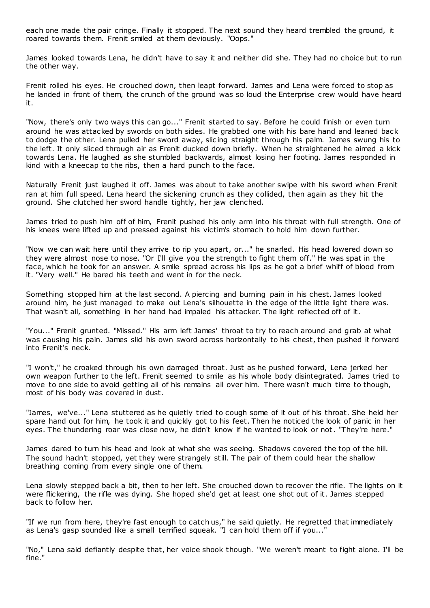each one made the pair cringe. Finally it stopped. The next sound they heard trembled the ground, it roared towards them. Frenit smiled at them deviously. "Oops."

James looked towards Lena, he didn't have to say it and neither did she. They had no choice but to run the other way.

Frenit rolled his eyes. He crouched down, then leapt forward. James and Lena were forced to stop as he landed in front of them, the crunch of the ground was so loud the Enterprise crew would have heard it.

"Now, there's only two ways this can go..." Frenit started to say. Before he could finish or even turn around he was attacked by swords on both sides. He grabbed one with his bare hand and leaned back to dodge the other. Lena pulled her sword away, slic ing straight through his palm. James swung his to the left. It only sliced through air as Frenit ducked down briefly. When he straightened he aimed a kick towards Lena. He laughed as she stumbled backwards, almost losing her footing. James responded in kind with a kneecap to the ribs, then a hard punch to the face.

Naturally Frenit just laughed it off. James was about to take another swipe with his sword when Frenit ran at him full speed. Lena heard the sickening crunch as they collided, then again as they hit the ground. She clutched her sword handle tightly, her jaw clenched.

James tried to push him off of him, Frenit pushed his only arm into his throat with full strength. One of his knees were lifted up and pressed against his victim's stomach to hold him down further.

"Now we can wait here until they arrive to rip you apart, or..." he snarled. His head lowered down so they were almost nose to nose. "Or I'll give you the strength to fight them off." He was spat in the face, which he took for an answer. A smile spread across his lips as he got a brief whiff of blood from it. "Very well." He bared his teeth and went in for the neck.

Something stopped him at the last second. A piercing and burning pain in his chest. James looked around him, he just managed to make out Lena's silhouette in the edge of the little light there was. That wasn't all, something in her hand had impaled his attacker. The light reflected off of it.

"You..." Frenit grunted. "Missed." His arm left James' throat to try to reach around and grab at what was causing his pain. James slid his own sword across horizontally to his chest, then pushed it forward into Frenit's neck.

"I won't," he croaked through his own damaged throat. Just as he pushed forward, Lena jerked her own weapon further to the left. Frenit seemed to smile as his whole body disintegrated. James tried to move to one side to avoid getting all of his remains all over him. There wasn't much time to though, most of his body was covered in dust.

"James, we've..." Lena stuttered as he quietly tried to cough some of it out of his throat. She held her spare hand out for him, he took it and quickly got to his feet. Then he noticed the look of panic in her eyes. The thundering roar was close now, he didn't know if he wanted to look or not. "They're here."

James dared to turn his head and look at what she was seeing. Shadows covered the top of the hill. The sound hadn't stopped, yet they were strangely still. The pair of them could hear the shallow breathing coming from every single one of them.

Lena slowly stepped back a bit, then to her left. She crouched down to recover the rifle. The lights on it were flickering, the rifle was dying. She hoped she'd get at least one shot out of it. James stepped back to follow her.

"If we run from here, they're fast enough to catch us," he said quietly. He regretted that immediately as Lena's gasp sounded like a small terrified squeak. "I can hold them off if you..."

"No," Lena said defiantly despite that, her voice shook though. "We weren't meant to fight alone. I'll be fine."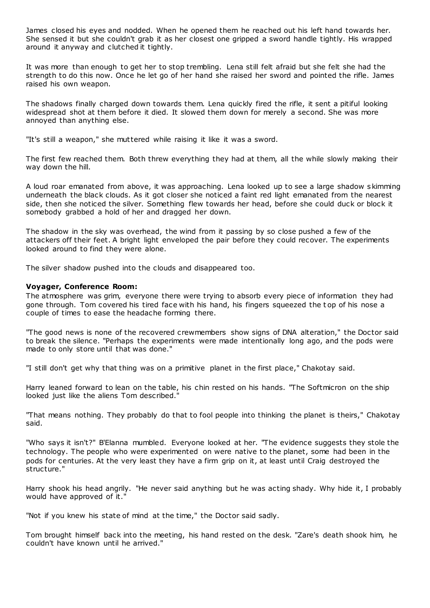James closed his eyes and nodded. When he opened them he reached out his left hand towards her. She sensed it but she couldn't grab it as her closest one gripped a sword handle tightly. His wrapped around it anyway and clutched it tightly.

It was more than enough to get her to stop trembling. Lena still felt afraid but she felt she had the strength to do this now. Once he let go of her hand she raised her sword and pointed the rifle. James raised his own weapon.

The shadows finally charged down towards them. Lena quickly fired the rifle, it sent a pitiful looking widespread shot at them before it died. It slowed them down for merely a second. She was more annoyed than anything else.

"It's still a weapon," she muttered while raising it like it was a sword.

The first few reached them. Both threw everything they had at them, all the while slowly making their way down the hill.

A loud roar emanated from above, it was approaching. Lena looked up to see a large shadow s kimming underneath the black clouds. As it got closer she noticed a faint red light emanated from the nearest side, then she noticed the silver. Something flew towards her head, before she could duck or block it somebody grabbed a hold of her and dragged her down.

The shadow in the sky was overhead, the wind from it passing by so close pushed a few of the attackers off their feet. A bright light enveloped the pair before they could recover. The experiments looked around to find they were alone.

The silver shadow pushed into the clouds and disappeared too.

#### **Voyager, Conference Room:**

The atmosphere was grim, everyone there were trying to absorb every piece of information they had gone through. Tom covered his tired face with his hand, his fingers squeezed the top of his nose a couple of times to ease the headache forming there.

"The good news is none of the recovered crewmembers show signs of DNA alteration," the Doctor said to break the silence. "Perhaps the experiments were made intentionally long ago, and the pods were made to only store until that was done."

"I still don't get why that thing was on a primitive planet in the first place," Chakotay said.

Harry leaned forward to lean on the table, his chin rested on his hands. "The Softmicron on the ship looked just like the aliens Tom described."

"That means nothing. They probably do that to fool people into thinking the planet is theirs," Chakotay said.

"Who says it isn't?" B'Elanna mumbled. Everyone looked at her. "The evidence suggests they stole the technology. The people who were experimented on were native to the planet, some had been in the pods for centuries. At the very least they have a firm grip on it, at least until Craig destroyed the structure."

Harry shook his head angrily. "He never said anything but he was acting shady. Why hide it, I probably would have approved of it."

"Not if you knew his state of mind at the time," the Doctor said sadly.

Tom brought himself back into the meeting, his hand rested on the desk. "Zare's death shook him, he couldn't have known until he arrived."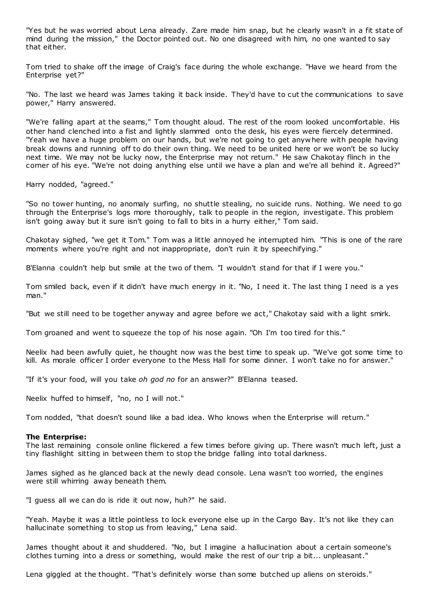"Yes but he was worried about Lena already. Zare made him snap, but he clearly wasn't in a fit state of mind during the mission," the Doctor pointed out. No one disagreed with him, no one wanted to say that either.

Tom tried to shake off the image of Craig's face during the whole exchange. "Have we heard from the Enterprise yet?"

"No. The last we heard was James taking it back inside. They'd have to cut the communications to save power," Harry answered.

"We're falling apart at the seams," Tom thought aloud. The rest of the room looked uncomfortable. His other hand clenched into a fist and lightly slammed onto the desk, his eyes were fiercely determined. "Yeah we have a huge problem on our hands, but we're not going to get anywhere with people having break downs and running off to do their own thing. We need to be united here or we won't be so lucky next time. We may not be lucky now, the Enterprise may not return." He saw Chakotay flinch in the corner of his eye. "We're not doing anything else until we have a plan and we're all behind it. Agreed?"

Harry nodded, "agreed."

"So no tower hunting, no anomaly surfing, no shuttle stealing, no suicide runs. Nothing. We need to go through the Enterprise's logs more thoroughly, talk to people in the region, investigate. This problem isn't going away but it sure isn't going to fall to bits in a hurry either," Tom said.

Chakotay sighed, "we get it Tom." Tom was a little annoyed he interrupted him. "This is one of the rare moments where you're right and not inappropriate, don't ruin it by speechifying."

B'Elanna couldn't help but smile at the two of them. "I wouldn't stand for that if I were you."

Tom smiled back, even if it didn't have much energy in it. "No, I need it. The last thing I need is a yes man."

"But we still need to be together anyway and agree before we act," Chakotay said with a light smirk.

Tom groaned and went to squeeze the top of his nose again. "Oh I'm too tired for this."

Neelix had been awfully quiet, he thought now was the best time to speak up. "We've got some time to kill. As morale officer I order everyone to the Mess Hall for some dinner. I won't take no for answer."

"If it's your food, will you take *oh god no* for an answer?" B'Elanna teased.

Neelix huffed to himself, "no, no I will not."

Tom nodded, "that doesn't sound like a bad idea. Who knows when the Enterprise will return."

#### **The Enterprise:**

The last remaining console online flickered a few times before giving up. There wasn't much left, just a tiny flashlight sitting in between them to stop the bridge falling into total darkness.

James sighed as he glanced back at the newly dead console. Lena wasn't too worried, the engines were still whirring away beneath them.

"I guess all we can do is ride it out now, huh?" he said.

"Yeah. Maybe it was a little pointless to lock everyone else up in the Cargo Bay. It's not like they can hallucinate something to stop us from leaving," Lena said.

James thought about it and shuddered. "No, but I imagine a hallucination about a certain someone's clothes turning into a dress or something, would make the rest of our trip a bit... unpleasant."

Lena giggled at the thought. "That's definitely worse than some butched up aliens on steroids."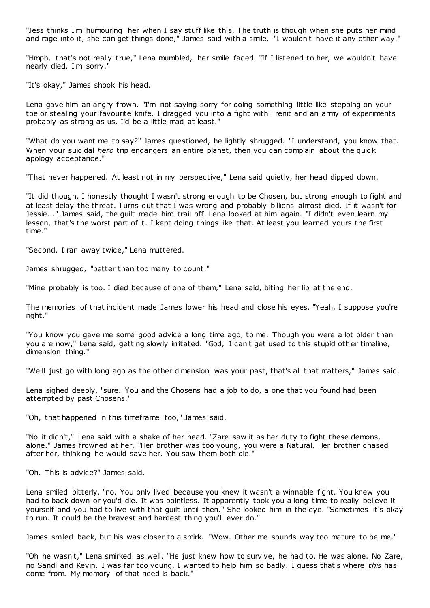"Jess thinks I'm humouring her when I say stuff like this. The truth is though when she puts her mind and rage into it, she can get things done," James said with a smile. "I wouldn't have it any other way."

"Hmph, that's not really true," Lena mumbled, her smile faded. "If I listened to her, we wouldn't have nearly died. I'm sorry."

"It's okay," James shook his head.

Lena gave him an angry frown. "I'm not saying sorry for doing something little like stepping on your toe or stealing your favourite knife. I dragged you into a fight with Frenit and an army of experiments probably as strong as us. I'd be a little mad at least."

"What do you want me to say?" James questioned, he lightly shrugged. "I understand, you know that. When your suicidal *hero* trip endangers an entire planet, then you can complain about the quic k apology acceptance."

"That never happened. At least not in my perspective," Lena said quietly, her head dipped down.

"It did though. I honestly thought I wasn't strong enough to be Chosen, but strong enough to fight and at least delay the threat. Turns out that I was wrong and probably billions almost died. If it wasn't for Jessie..." James said, the guilt made him trail off. Lena looked at him again. "I didn't even learn my lesson, that's the worst part of it. I kept doing things like that. At least you learned yours the first time."

"Second. I ran away twice," Lena muttered.

James shrugged, "better than too many to count."

"Mine probably is too. I died because of one of them," Lena said, biting her lip at the end.

The memories of that incident made James lower his head and close his eyes. "Yeah, I suppose you're right."

"You know you gave me some good advice a long time ago, to me. Though you were a lot older than you are now," Lena said, getting slowly irritated. "God, I can't get used to this stupid other timeline, dimension thing."

"We'll just go with long ago as the other dimension was your past, that's all that matters," James said.

Lena sighed deeply, "sure. You and the Chosens had a job to do, a one that you found had been attempted by past Chosens."

"Oh, that happened in this timeframe too," James said.

"No it didn't," Lena said with a shake of her head. "Zare saw it as her duty to fight these demons, alone." James frowned at her. "Her brother was too young, you were a Natural. Her brother chased after her, thinking he would save her. You saw them both die."

"Oh. This is advice?" James said.

Lena smiled bitterly, "no. You only lived because you knew it wasn't a winnable fight. You knew you had to back down or you'd die. It was pointless. It apparently took you a long time to really believe it yourself and you had to live with that guilt until then." She looked him in the eye. "Sometimes it's okay to run. It could be the bravest and hardest thing you'll ever do."

James smiled back, but his was closer to a smirk. "Wow. Other me sounds way too mature to be me."

"Oh he wasn't," Lena smirked as well. "He just knew how to survive, he had to. He was alone. No Zare, no Sandi and Kevin. I was far too young. I wanted to help him so badly. I guess that's where *this* has come from. My memory of that need is back."